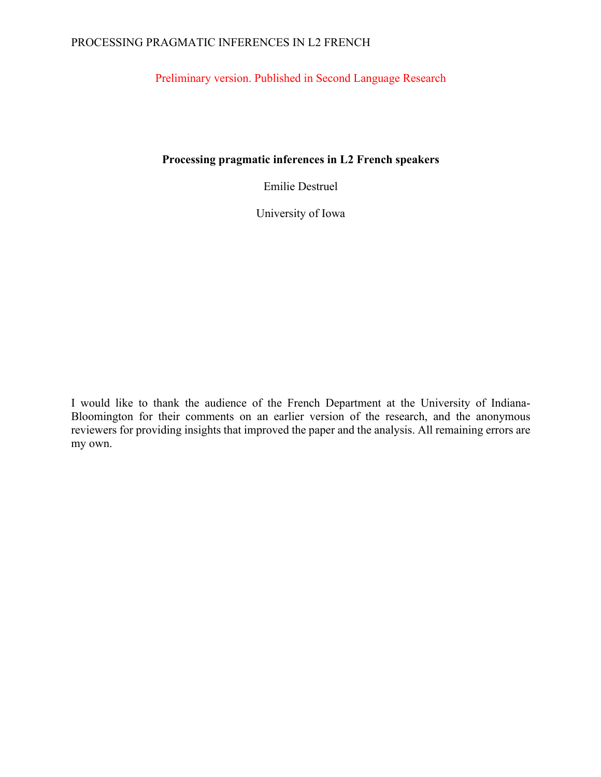# PROCESSING PRAGMATIC INFERENCES IN L2 FRENCH

Preliminary version. Published in Second Language Research

# **Processing pragmatic inferences in L2 French speakers**

Emilie Destruel

University of Iowa

I would like to thank the audience of the French Department at the University of Indiana-Bloomington for their comments on an earlier version of the research, and the anonymous reviewers for providing insights that improved the paper and the analysis. All remaining errors are my own.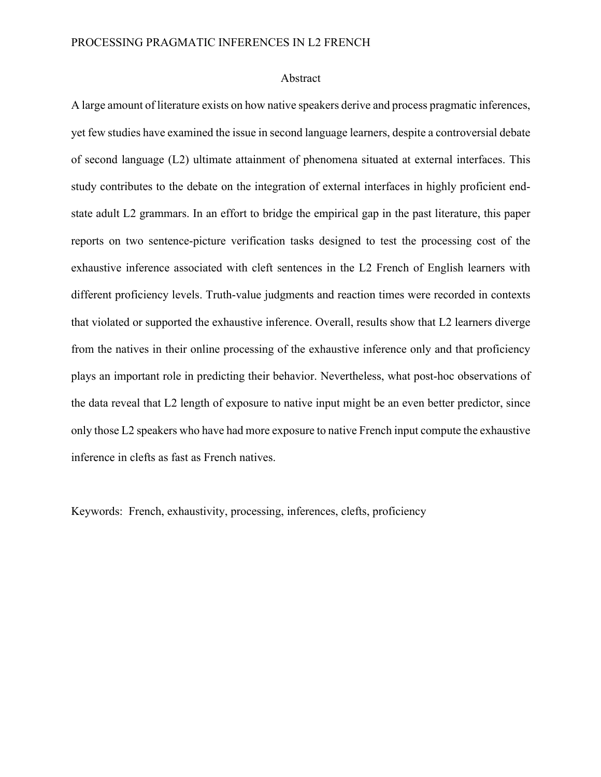#### Abstract

A large amount of literature exists on how native speakers derive and process pragmatic inferences, yet few studies have examined the issue in second language learners, despite a controversial debate of second language (L2) ultimate attainment of phenomena situated at external interfaces. This study contributes to the debate on the integration of external interfaces in highly proficient endstate adult L2 grammars. In an effort to bridge the empirical gap in the past literature, this paper reports on two sentence-picture verification tasks designed to test the processing cost of the exhaustive inference associated with cleft sentences in the L2 French of English learners with different proficiency levels. Truth-value judgments and reaction times were recorded in contexts that violated or supported the exhaustive inference. Overall, results show that L2 learners diverge from the natives in their online processing of the exhaustive inference only and that proficiency plays an important role in predicting their behavior. Nevertheless, what post-hoc observations of the data reveal that L2 length of exposure to native input might be an even better predictor, since only those L2 speakers who have had more exposure to native French input compute the exhaustive inference in clefts as fast as French natives.

Keywords: French, exhaustivity, processing, inferences, clefts, proficiency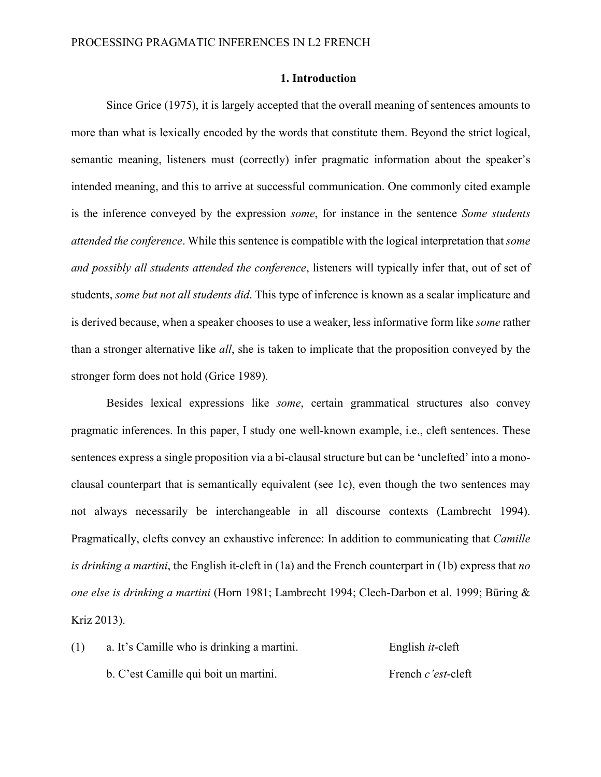# **1. Introduction**

Since Grice (1975), it is largely accepted that the overall meaning of sentences amounts to more than what is lexically encoded by the words that constitute them. Beyond the strict logical, semantic meaning, listeners must (correctly) infer pragmatic information about the speaker's intended meaning, and this to arrive at successful communication. One commonly cited example is the inference conveyed by the expression *some*, for instance in the sentence *Some students attended the conference*. While this sentence is compatible with the logical interpretation that *some and possibly all students attended the conference*, listeners will typically infer that, out of set of students, *some but not all students did*. This type of inference is known as a scalar implicature and is derived because, when a speaker chooses to use a weaker, less informative form like *some* rather than a stronger alternative like *all*, she is taken to implicate that the proposition conveyed by the stronger form does not hold (Grice 1989).

Besides lexical expressions like *some*, certain grammatical structures also convey pragmatic inferences. In this paper, I study one well-known example, i.e., cleft sentences. These sentences express a single proposition via a bi-clausal structure but can be 'unclefted' into a monoclausal counterpart that is semantically equivalent (see 1c), even though the two sentences may not always necessarily be interchangeable in all discourse contexts (Lambrecht 1994). Pragmatically, clefts convey an exhaustive inference: In addition to communicating that *Camille is drinking a martini*, the English it-cleft in (1a) and the French counterpart in (1b) express that *no one else is drinking a martini* (Horn 1981; Lambrecht 1994; Clech-Darbon et al. 1999; Büring & Kriz 2013).

(1) a. It's Camille who is drinking a martini. English *it*-cleft b. C'est Camille qui boit un martini. French *c'est*-cleft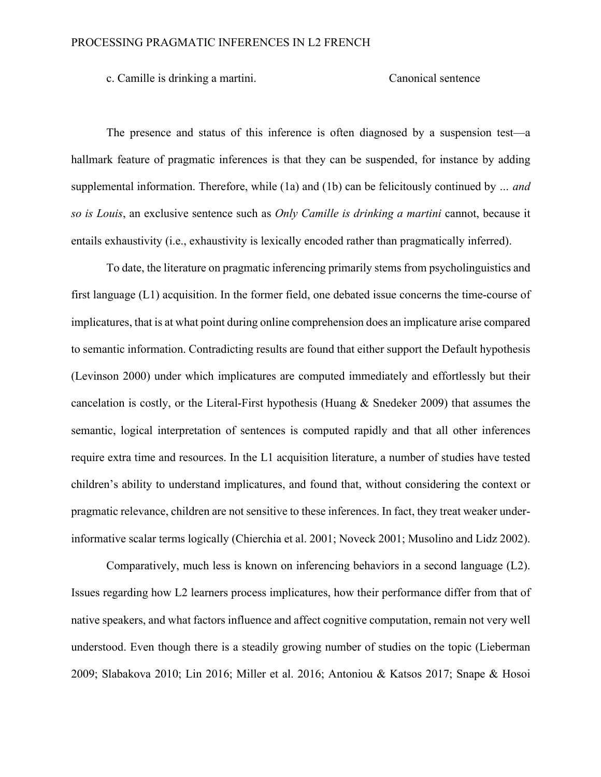c. Camille is drinking a martini. Canonical sentence

The presence and status of this inference is often diagnosed by a suspension test—a hallmark feature of pragmatic inferences is that they can be suspended, for instance by adding supplemental information. Therefore, while (1a) and (1b) can be felicitously continued by *… and so is Louis*, an exclusive sentence such as *Only Camille is drinking a martini* cannot, because it entails exhaustivity (i.e., exhaustivity is lexically encoded rather than pragmatically inferred).

To date, the literature on pragmatic inferencing primarily stems from psycholinguistics and first language (L1) acquisition. In the former field, one debated issue concerns the time-course of implicatures, that is at what point during online comprehension does an implicature arise compared to semantic information. Contradicting results are found that either support the Default hypothesis (Levinson 2000) under which implicatures are computed immediately and effortlessly but their cancelation is costly, or the Literal-First hypothesis (Huang & Snedeker 2009) that assumes the semantic, logical interpretation of sentences is computed rapidly and that all other inferences require extra time and resources. In the L1 acquisition literature, a number of studies have tested children's ability to understand implicatures, and found that, without considering the context or pragmatic relevance, children are not sensitive to these inferences. In fact, they treat weaker underinformative scalar terms logically (Chierchia et al. 2001; Noveck 2001; Musolino and Lidz 2002).

Comparatively, much less is known on inferencing behaviors in a second language (L2). Issues regarding how L2 learners process implicatures, how their performance differ from that of native speakers, and what factors influence and affect cognitive computation, remain not very well understood. Even though there is a steadily growing number of studies on the topic (Lieberman 2009; Slabakova 2010; Lin 2016; Miller et al. 2016; Antoniou & Katsos 2017; Snape & Hosoi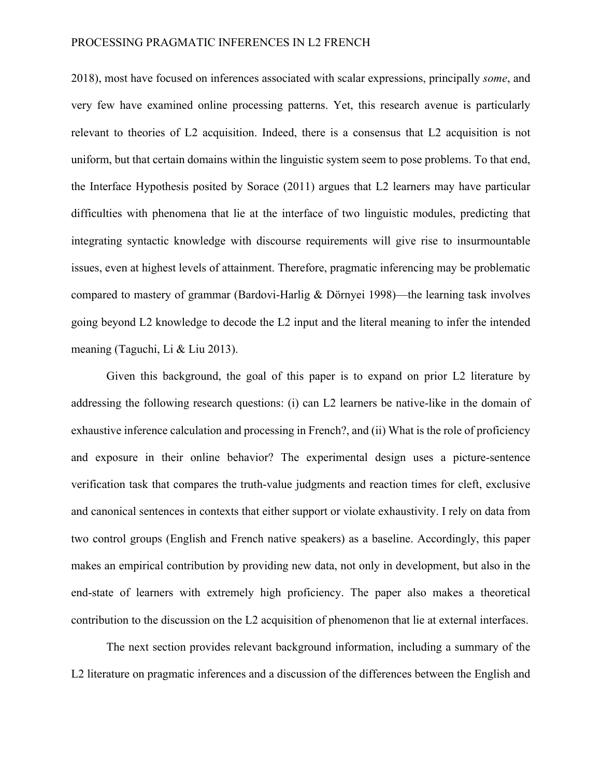2018), most have focused on inferences associated with scalar expressions, principally *some*, and very few have examined online processing patterns. Yet, this research avenue is particularly relevant to theories of L2 acquisition. Indeed, there is a consensus that L2 acquisition is not uniform, but that certain domains within the linguistic system seem to pose problems. To that end, the Interface Hypothesis posited by Sorace (2011) argues that L2 learners may have particular difficulties with phenomena that lie at the interface of two linguistic modules, predicting that integrating syntactic knowledge with discourse requirements will give rise to insurmountable issues, even at highest levels of attainment. Therefore, pragmatic inferencing may be problematic compared to mastery of grammar (Bardovi-Harlig & Dörnyei 1998)—the learning task involves going beyond L2 knowledge to decode the L2 input and the literal meaning to infer the intended meaning (Taguchi, Li & Liu 2013).

Given this background, the goal of this paper is to expand on prior L2 literature by addressing the following research questions: (i) can L2 learners be native-like in the domain of exhaustive inference calculation and processing in French?, and (ii) What is the role of proficiency and exposure in their online behavior? The experimental design uses a picture-sentence verification task that compares the truth-value judgments and reaction times for cleft, exclusive and canonical sentences in contexts that either support or violate exhaustivity. I rely on data from two control groups (English and French native speakers) as a baseline. Accordingly, this paper makes an empirical contribution by providing new data, not only in development, but also in the end-state of learners with extremely high proficiency. The paper also makes a theoretical contribution to the discussion on the L2 acquisition of phenomenon that lie at external interfaces.

The next section provides relevant background information, including a summary of the L2 literature on pragmatic inferences and a discussion of the differences between the English and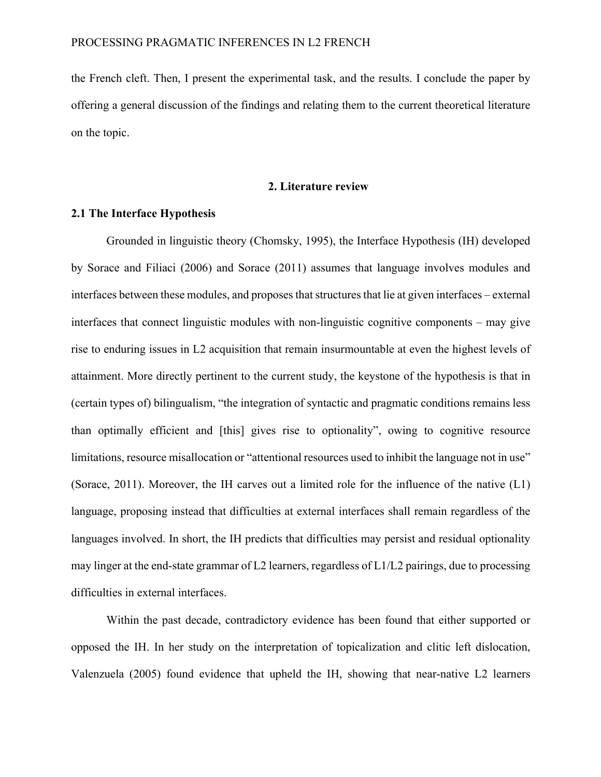the French cleft. Then, I present the experimental task, and the results. I conclude the paper by offering a general discussion of the findings and relating them to the current theoretical literature on the topic.

#### **2. Literature review**

# **2.1 The Interface Hypothesis**

Grounded in linguistic theory (Chomsky, 1995), the Interface Hypothesis (IH) developed by Sorace and Filiaci (2006) and Sorace (2011) assumes that language involves modules and interfaces between these modules, and proposes that structures that lie at given interfaces – external interfaces that connect linguistic modules with non-linguistic cognitive components – may give rise to enduring issues in L2 acquisition that remain insurmountable at even the highest levels of attainment. More directly pertinent to the current study, the keystone of the hypothesis is that in (certain types of) bilingualism, "the integration of syntactic and pragmatic conditions remains less than optimally efficient and [this] gives rise to optionality", owing to cognitive resource limitations, resource misallocation or "attentional resources used to inhibit the language not in use" (Sorace, 2011). Moreover, the IH carves out a limited role for the influence of the native (L1) language, proposing instead that difficulties at external interfaces shall remain regardless of the languages involved. In short, the IH predicts that difficulties may persist and residual optionality may linger at the end-state grammar of L2 learners, regardless of L1/L2 pairings, due to processing difficulties in external interfaces.

Within the past decade, contradictory evidence has been found that either supported or opposed the IH. In her study on the interpretation of topicalization and clitic left dislocation, Valenzuela (2005) found evidence that upheld the IH, showing that near-native L2 learners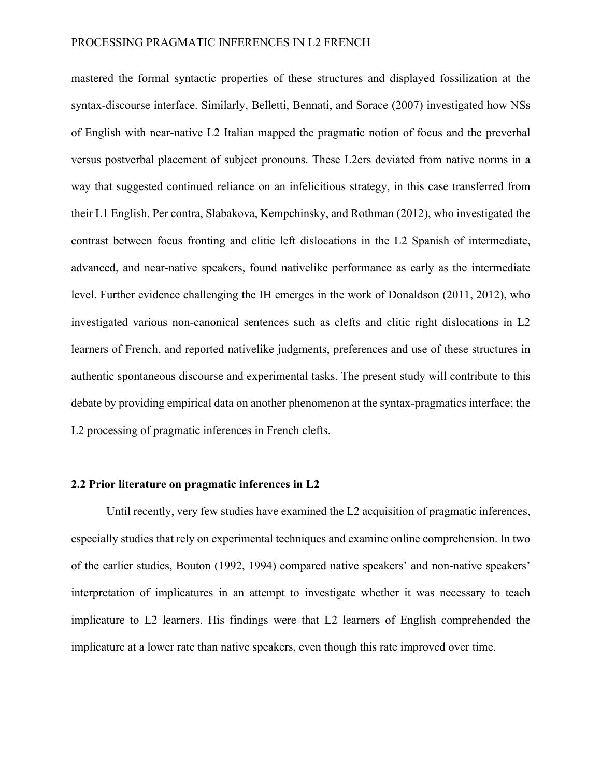mastered the formal syntactic properties of these structures and displayed fossilization at the syntax-discourse interface. Similarly, Belletti, Bennati, and Sorace (2007) investigated how NSs of English with near-native L2 Italian mapped the pragmatic notion of focus and the preverbal versus postverbal placement of subject pronouns. These L2ers deviated from native norms in a way that suggested continued reliance on an infelicitious strategy, in this case transferred from their L1 English. Per contra, Slabakova, Kempchinsky, and Rothman (2012), who investigated the contrast between focus fronting and clitic left dislocations in the L2 Spanish of intermediate, advanced, and near-native speakers, found nativelike performance as early as the intermediate level. Further evidence challenging the IH emerges in the work of Donaldson (2011, 2012), who investigated various non-canonical sentences such as clefts and clitic right dislocations in L2 learners of French, and reported nativelike judgments, preferences and use of these structures in authentic spontaneous discourse and experimental tasks. The present study will contribute to this debate by providing empirical data on another phenomenon at the syntax-pragmatics interface; the L2 processing of pragmatic inferences in French clefts.

## **2.2 Prior literature on pragmatic inferences in L2**

Until recently, very few studies have examined the L2 acquisition of pragmatic inferences, especially studies that rely on experimental techniques and examine online comprehension. In two of the earlier studies, Bouton (1992, 1994) compared native speakers' and non-native speakers' interpretation of implicatures in an attempt to investigate whether it was necessary to teach implicature to L2 learners. His findings were that L2 learners of English comprehended the implicature at a lower rate than native speakers, even though this rate improved over time.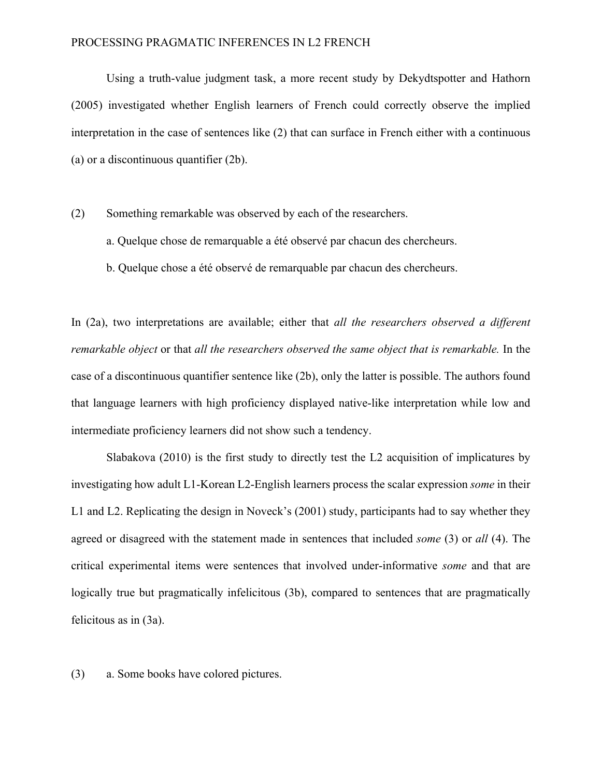## PROCESSING PRAGMATIC INFERENCES IN L2 FRENCH

Using a truth-value judgment task, a more recent study by Dekydtspotter and Hathorn (2005) investigated whether English learners of French could correctly observe the implied interpretation in the case of sentences like (2) that can surface in French either with a continuous (a) or a discontinuous quantifier (2b).

- (2) Something remarkable was observed by each of the researchers.
	- a. Quelque chose de remarquable a été observé par chacun des chercheurs.
	- b. Quelque chose a été observé de remarquable par chacun des chercheurs.

In (2a), two interpretations are available; either that *all the researchers observed a different remarkable object* or that *all the researchers observed the same object that is remarkable.* In the case of a discontinuous quantifier sentence like (2b), only the latter is possible. The authors found that language learners with high proficiency displayed native-like interpretation while low and intermediate proficiency learners did not show such a tendency.

Slabakova (2010) is the first study to directly test the L2 acquisition of implicatures by investigating how adult L1-Korean L2-English learners process the scalar expression *some* in their L1 and L2. Replicating the design in Noveck's (2001) study, participants had to say whether they agreed or disagreed with the statement made in sentences that included *some* (3) or *all* (4). The critical experimental items were sentences that involved under-informative *some* and that are logically true but pragmatically infelicitous (3b), compared to sentences that are pragmatically felicitous as in (3a).

(3) a. Some books have colored pictures.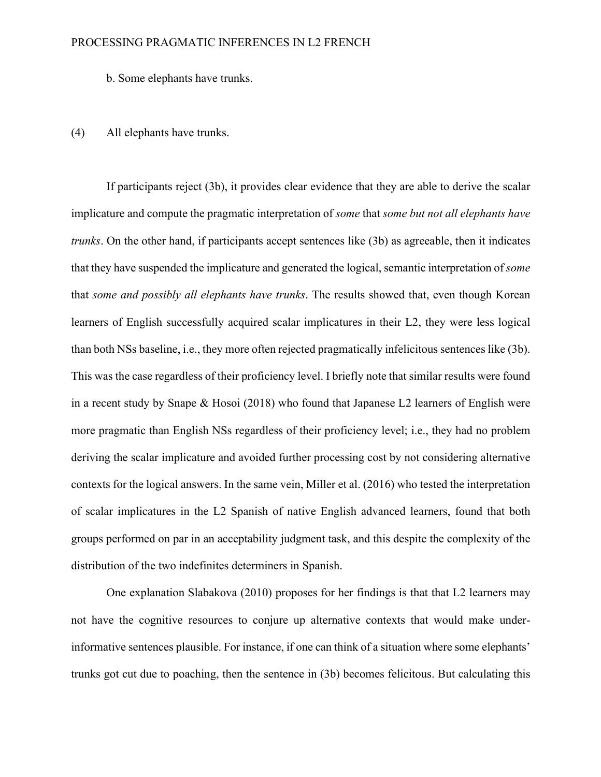b. Some elephants have trunks.

# (4) All elephants have trunks.

If participants reject (3b), it provides clear evidence that they are able to derive the scalar implicature and compute the pragmatic interpretation of *some* that *some but not all elephants have trunks*. On the other hand, if participants accept sentences like (3b) as agreeable, then it indicates that they have suspended the implicature and generated the logical, semantic interpretation of *some* that *some and possibly all elephants have trunks*. The results showed that, even though Korean learners of English successfully acquired scalar implicatures in their L2, they were less logical than both NSs baseline, i.e., they more often rejected pragmatically infelicitous sentences like (3b). This was the case regardless of their proficiency level. I briefly note that similar results were found in a recent study by Snape & Hosoi (2018) who found that Japanese L2 learners of English were more pragmatic than English NSs regardless of their proficiency level; i.e., they had no problem deriving the scalar implicature and avoided further processing cost by not considering alternative contexts for the logical answers. In the same vein, Miller et al. (2016) who tested the interpretation of scalar implicatures in the L2 Spanish of native English advanced learners, found that both groups performed on par in an acceptability judgment task, and this despite the complexity of the distribution of the two indefinites determiners in Spanish.

One explanation Slabakova (2010) proposes for her findings is that that L2 learners may not have the cognitive resources to conjure up alternative contexts that would make underinformative sentences plausible. For instance, if one can think of a situation where some elephants' trunks got cut due to poaching, then the sentence in (3b) becomes felicitous. But calculating this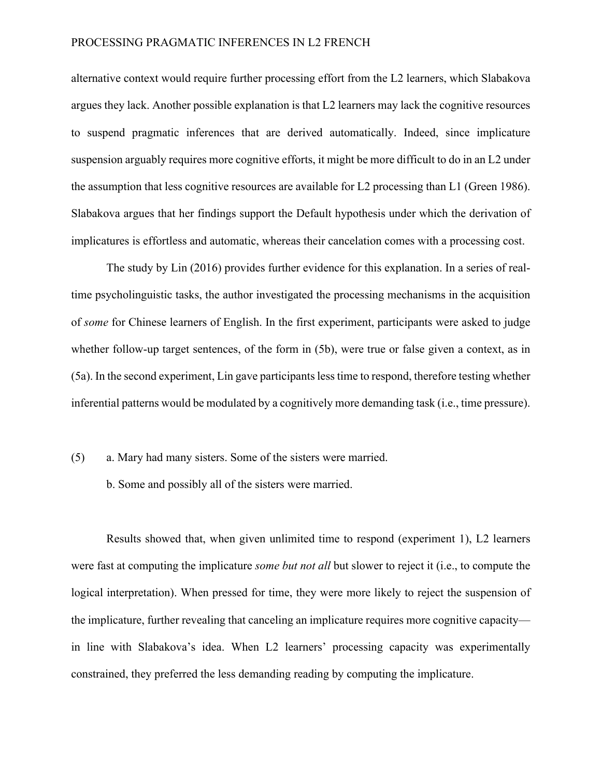# PROCESSING PRAGMATIC INFERENCES IN L2 FRENCH

alternative context would require further processing effort from the L2 learners, which Slabakova argues they lack. Another possible explanation is that L2 learners may lack the cognitive resources to suspend pragmatic inferences that are derived automatically. Indeed, since implicature suspension arguably requires more cognitive efforts, it might be more difficult to do in an L2 under the assumption that less cognitive resources are available for L2 processing than L1 (Green 1986). Slabakova argues that her findings support the Default hypothesis under which the derivation of implicatures is effortless and automatic, whereas their cancelation comes with a processing cost.

The study by Lin (2016) provides further evidence for this explanation. In a series of realtime psycholinguistic tasks, the author investigated the processing mechanisms in the acquisition of *some* for Chinese learners of English. In the first experiment, participants were asked to judge whether follow-up target sentences, of the form in (5b), were true or false given a context, as in (5a). In the second experiment, Lin gave participants less time to respond, therefore testing whether inferential patterns would be modulated by a cognitively more demanding task (i.e., time pressure).

- (5) a. Mary had many sisters. Some of the sisters were married.
	- b. Some and possibly all of the sisters were married.

Results showed that, when given unlimited time to respond (experiment 1), L2 learners were fast at computing the implicature *some but not all* but slower to reject it (i.e., to compute the logical interpretation). When pressed for time, they were more likely to reject the suspension of the implicature, further revealing that canceling an implicature requires more cognitive capacity in line with Slabakova's idea. When L2 learners' processing capacity was experimentally constrained, they preferred the less demanding reading by computing the implicature.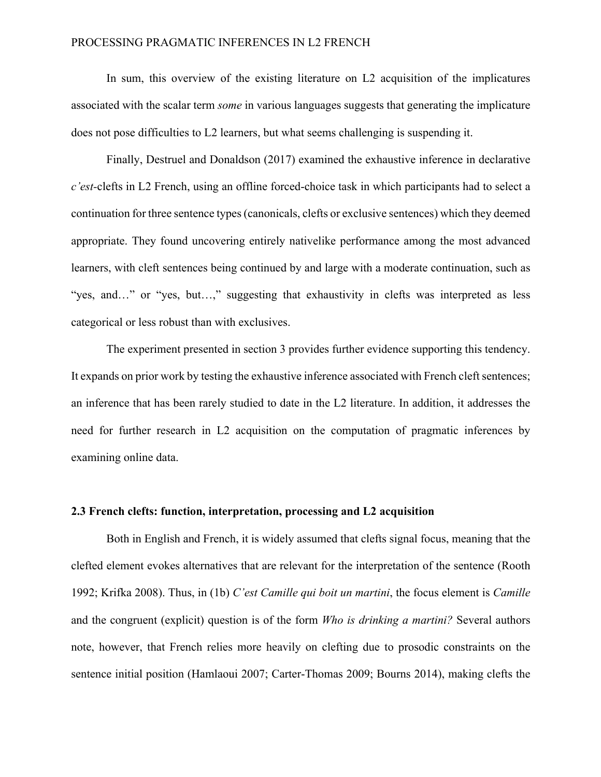## PROCESSING PRAGMATIC INFERENCES IN L2 FRENCH

In sum, this overview of the existing literature on L2 acquisition of the implicatures associated with the scalar term *some* in various languages suggests that generating the implicature does not pose difficulties to L2 learners, but what seems challenging is suspending it.

Finally, Destruel and Donaldson (2017) examined the exhaustive inference in declarative *c'est-*clefts in L2 French, using an offline forced-choice task in which participants had to select a continuation for three sentence types (canonicals, clefts or exclusive sentences) which they deemed appropriate. They found uncovering entirely nativelike performance among the most advanced learners, with cleft sentences being continued by and large with a moderate continuation, such as "yes, and…" or "yes, but…," suggesting that exhaustivity in clefts was interpreted as less categorical or less robust than with exclusives.

The experiment presented in section 3 provides further evidence supporting this tendency. It expands on prior work by testing the exhaustive inference associated with French cleft sentences; an inference that has been rarely studied to date in the L2 literature. In addition, it addresses the need for further research in L2 acquisition on the computation of pragmatic inferences by examining online data.

# **2.3 French clefts: function, interpretation, processing and L2 acquisition**

Both in English and French, it is widely assumed that clefts signal focus, meaning that the clefted element evokes alternatives that are relevant for the interpretation of the sentence (Rooth 1992; Krifka 2008). Thus, in (1b) *C'est Camille qui boit un martini*, the focus element is *Camille* and the congruent (explicit) question is of the form *Who is drinking a martini?* Several authors note, however, that French relies more heavily on clefting due to prosodic constraints on the sentence initial position (Hamlaoui 2007; Carter-Thomas 2009; Bourns 2014), making clefts the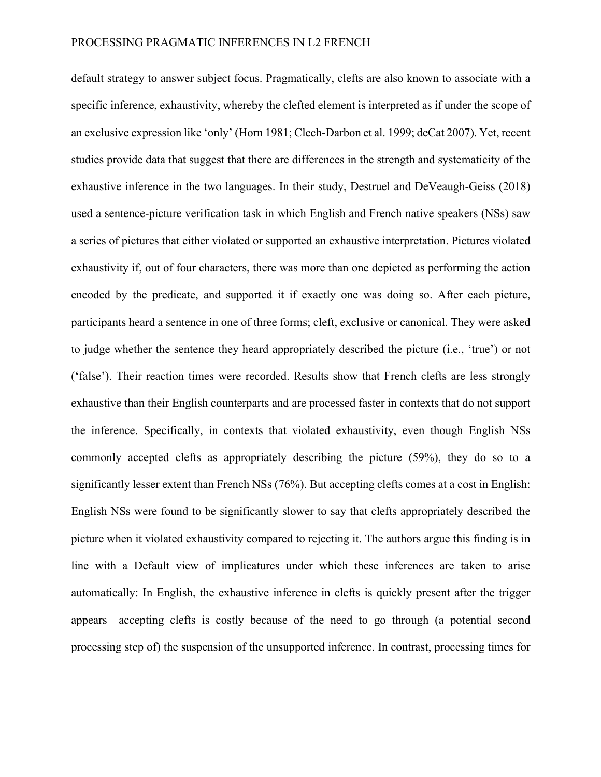default strategy to answer subject focus. Pragmatically, clefts are also known to associate with a specific inference, exhaustivity, whereby the clefted element is interpreted as if under the scope of an exclusive expression like 'only' (Horn 1981; Clech-Darbon et al. 1999; deCat 2007). Yet, recent studies provide data that suggest that there are differences in the strength and systematicity of the exhaustive inference in the two languages. In their study, Destruel and DeVeaugh-Geiss (2018) used a sentence-picture verification task in which English and French native speakers (NSs) saw a series of pictures that either violated or supported an exhaustive interpretation. Pictures violated exhaustivity if, out of four characters, there was more than one depicted as performing the action encoded by the predicate, and supported it if exactly one was doing so. After each picture, participants heard a sentence in one of three forms; cleft, exclusive or canonical. They were asked to judge whether the sentence they heard appropriately described the picture (i.e., 'true') or not ('false'). Their reaction times were recorded. Results show that French clefts are less strongly exhaustive than their English counterparts and are processed faster in contexts that do not support the inference. Specifically, in contexts that violated exhaustivity, even though English NSs commonly accepted clefts as appropriately describing the picture (59%), they do so to a significantly lesser extent than French NSs (76%). But accepting clefts comes at a cost in English: English NSs were found to be significantly slower to say that clefts appropriately described the picture when it violated exhaustivity compared to rejecting it. The authors argue this finding is in line with a Default view of implicatures under which these inferences are taken to arise automatically: In English, the exhaustive inference in clefts is quickly present after the trigger appears—accepting clefts is costly because of the need to go through (a potential second processing step of) the suspension of the unsupported inference. In contrast, processing times for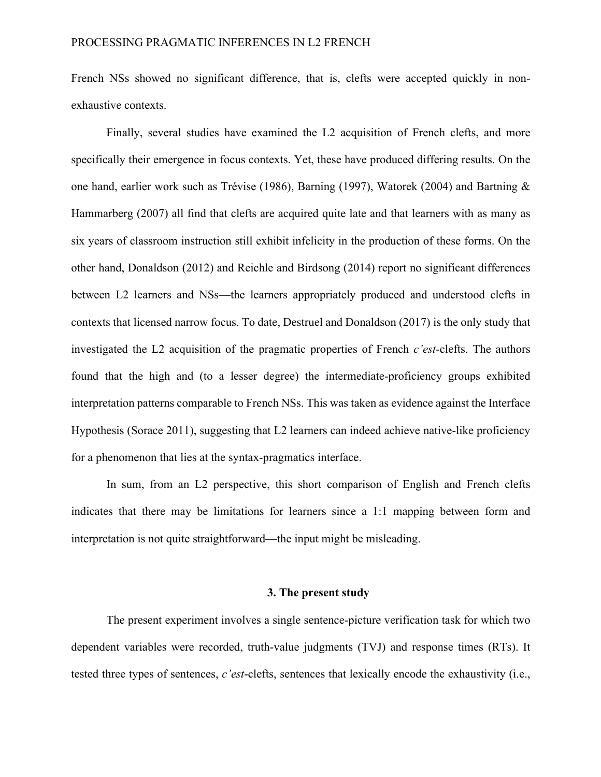French NSs showed no significant difference, that is, clefts were accepted quickly in nonexhaustive contexts.

Finally, several studies have examined the L2 acquisition of French clefts, and more specifically their emergence in focus contexts. Yet, these have produced differing results. On the one hand, earlier work such as Trévise (1986), Barning (1997), Watorek (2004) and Bartning & Hammarberg (2007) all find that clefts are acquired quite late and that learners with as many as six years of classroom instruction still exhibit infelicity in the production of these forms. On the other hand, Donaldson (2012) and Reichle and Birdsong (2014) report no significant differences between L2 learners and NSs—the learners appropriately produced and understood clefts in contexts that licensed narrow focus. To date, Destruel and Donaldson (2017) is the only study that investigated the L2 acquisition of the pragmatic properties of French *c'est*-clefts. The authors found that the high and (to a lesser degree) the intermediate-proficiency groups exhibited interpretation patterns comparable to French NSs. This was taken as evidence against the Interface Hypothesis (Sorace 2011), suggesting that L2 learners can indeed achieve native-like proficiency for a phenomenon that lies at the syntax-pragmatics interface.

In sum, from an L2 perspective, this short comparison of English and French clefts indicates that there may be limitations for learners since a 1:1 mapping between form and interpretation is not quite straightforward—the input might be misleading.

## **3. The present study**

The present experiment involves a single sentence-picture verification task for which two dependent variables were recorded, truth-value judgments (TVJ) and response times (RTs). It tested three types of sentences, *c'est*-clefts, sentences that lexically encode the exhaustivity (i.e.,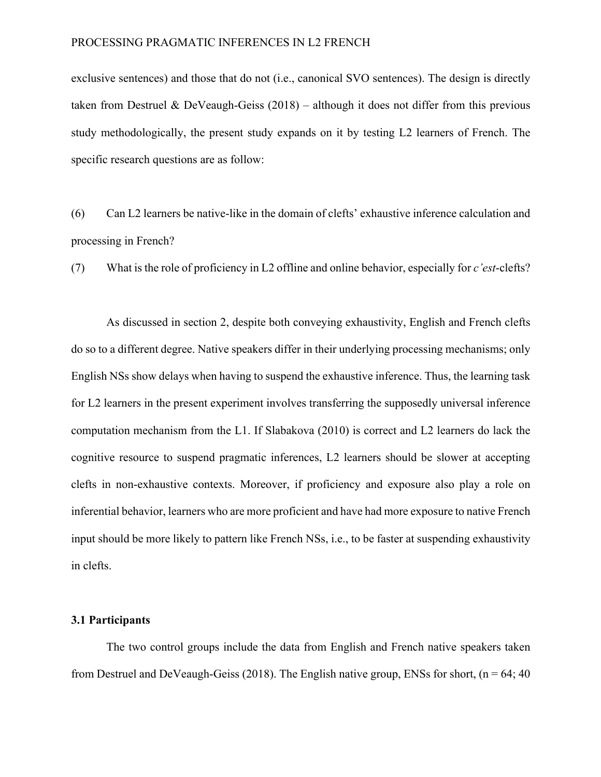exclusive sentences) and those that do not (i.e., canonical SVO sentences). The design is directly taken from Destruel & DeVeaugh-Geiss  $(2018)$  – although it does not differ from this previous study methodologically, the present study expands on it by testing L2 learners of French. The specific research questions are as follow:

(6) Can L2 learners be native-like in the domain of clefts' exhaustive inference calculation and processing in French?

(7) What is the role of proficiency in L2 offline and online behavior, especially for *c'est*-clefts?

As discussed in section 2, despite both conveying exhaustivity, English and French clefts do so to a different degree. Native speakers differ in their underlying processing mechanisms; only English NSs show delays when having to suspend the exhaustive inference. Thus, the learning task for L2 learners in the present experiment involves transferring the supposedly universal inference computation mechanism from the L1. If Slabakova (2010) is correct and L2 learners do lack the cognitive resource to suspend pragmatic inferences, L2 learners should be slower at accepting clefts in non-exhaustive contexts. Moreover, if proficiency and exposure also play a role on inferential behavior, learners who are more proficient and have had more exposure to native French input should be more likely to pattern like French NSs, i.e., to be faster at suspending exhaustivity in clefts.

# **3.1 Participants**

The two control groups include the data from English and French native speakers taken from Destruel and DeVeaugh-Geiss (2018). The English native group, ENSs for short, ( $n = 64$ ; 40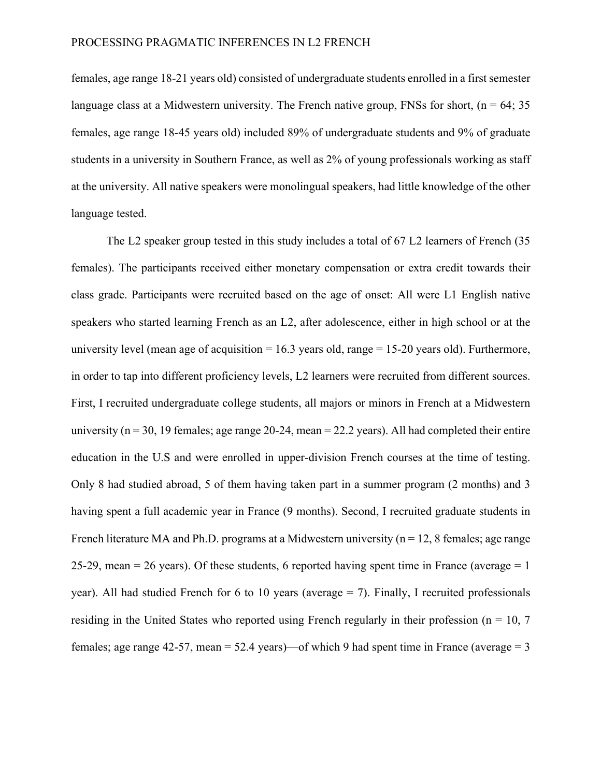females, age range 18-21 years old) consisted of undergraduate students enrolled in a first semester language class at a Midwestern university. The French native group, FNSs for short, ( $n = 64$ ; 35 females, age range 18-45 years old) included 89% of undergraduate students and 9% of graduate students in a university in Southern France, as well as 2% of young professionals working as staff at the university. All native speakers were monolingual speakers, had little knowledge of the other language tested.

The L2 speaker group tested in this study includes a total of 67 L2 learners of French (35 females). The participants received either monetary compensation or extra credit towards their class grade. Participants were recruited based on the age of onset: All were L1 English native speakers who started learning French as an L2, after adolescence, either in high school or at the university level (mean age of acquisition  $= 16.3$  years old, range  $= 15-20$  years old). Furthermore, in order to tap into different proficiency levels, L2 learners were recruited from different sources. First, I recruited undergraduate college students, all majors or minors in French at a Midwestern university ( $n = 30$ , 19 females; age range 20-24, mean = 22.2 years). All had completed their entire education in the U.S and were enrolled in upper-division French courses at the time of testing. Only 8 had studied abroad, 5 of them having taken part in a summer program (2 months) and 3 having spent a full academic year in France (9 months). Second, I recruited graduate students in French literature MA and Ph.D. programs at a Midwestern university ( $n = 12$ , 8 females; age range 25-29, mean = 26 years). Of these students, 6 reported having spent time in France (average =  $1$ ) year). All had studied French for 6 to 10 years (average  $= 7$ ). Finally, I recruited professionals residing in the United States who reported using French regularly in their profession ( $n = 10, 7$ ) females; age range 42-57, mean = 52.4 years)—of which 9 had spent time in France (average = 3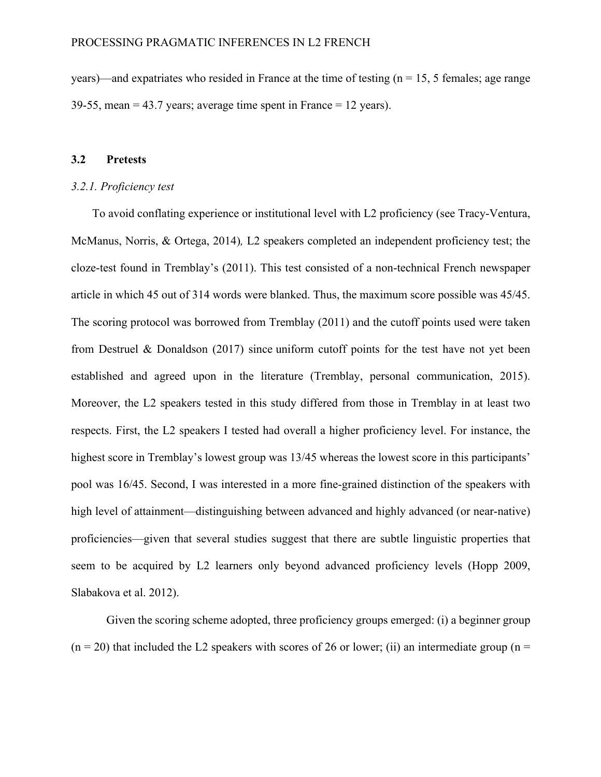years)—and expatriates who resided in France at the time of testing ( $n = 15$ , 5 females; age range 39-55, mean  $= 43.7$  years; average time spent in France  $= 12$  years).

#### **3.2 Pretests**

#### *3.2.1. Proficiency test*

To avoid conflating experience or institutional level with L2 proficiency (see Tracy-Ventura, McManus, Norris, & Ortega, 2014)*,* L2 speakers completed an independent proficiency test; the cloze-test found in Tremblay's (2011). This test consisted of a non-technical French newspaper article in which 45 out of 314 words were blanked. Thus, the maximum score possible was 45/45. The scoring protocol was borrowed from Tremblay (2011) and the cutoff points used were taken from Destruel & Donaldson (2017) since uniform cutoff points for the test have not yet been established and agreed upon in the literature (Tremblay, personal communication, 2015). Moreover, the L2 speakers tested in this study differed from those in Tremblay in at least two respects. First, the L2 speakers I tested had overall a higher proficiency level. For instance, the highest score in Tremblay's lowest group was 13/45 whereas the lowest score in this participants' pool was 16/45. Second, I was interested in a more fine-grained distinction of the speakers with high level of attainment—distinguishing between advanced and highly advanced (or near-native) proficiencies—given that several studies suggest that there are subtle linguistic properties that seem to be acquired by L2 learners only beyond advanced proficiency levels (Hopp 2009, Slabakova et al. 2012).

Given the scoring scheme adopted, three proficiency groups emerged: (i) a beginner group  $(n = 20)$  that included the L2 speakers with scores of 26 or lower; (ii) an intermediate group (n =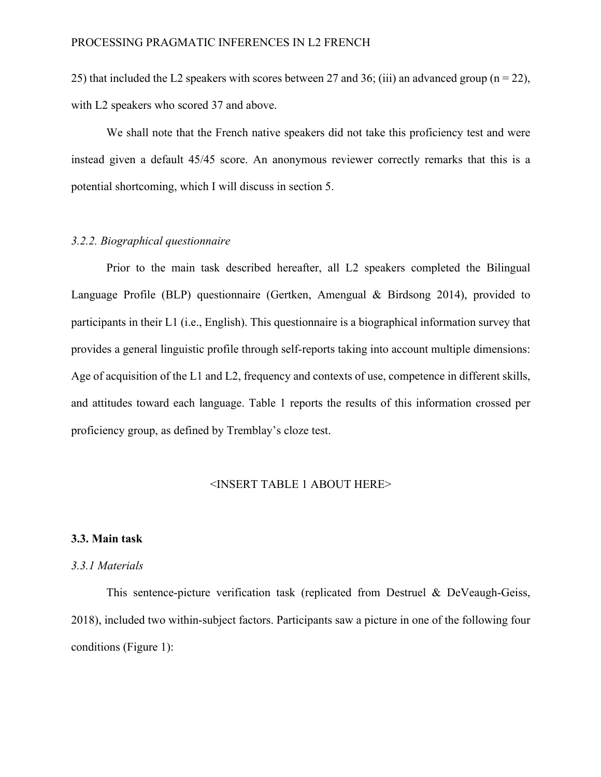25) that included the L2 speakers with scores between 27 and 36; (iii) an advanced group ( $n = 22$ ), with L2 speakers who scored 37 and above.

We shall note that the French native speakers did not take this proficiency test and were instead given a default 45/45 score. An anonymous reviewer correctly remarks that this is a potential shortcoming, which I will discuss in section 5.

# *3.2.2. Biographical questionnaire*

Prior to the main task described hereafter, all L2 speakers completed the Bilingual Language Profile (BLP) questionnaire (Gertken, Amengual & Birdsong 2014), provided to participants in their L1 (i.e., English). This questionnaire is a biographical information survey that provides a general linguistic profile through self-reports taking into account multiple dimensions: Age of acquisition of the L1 and L2, frequency and contexts of use, competence in different skills, and attitudes toward each language. Table 1 reports the results of this information crossed per proficiency group, as defined by Tremblay's cloze test.

#### <INSERT TABLE 1 ABOUT HERE>

# **3.3. Main task**

# *3.3.1 Materials*

This sentence-picture verification task (replicated from Destruel & DeVeaugh-Geiss, 2018), included two within-subject factors. Participants saw a picture in one of the following four conditions (Figure 1):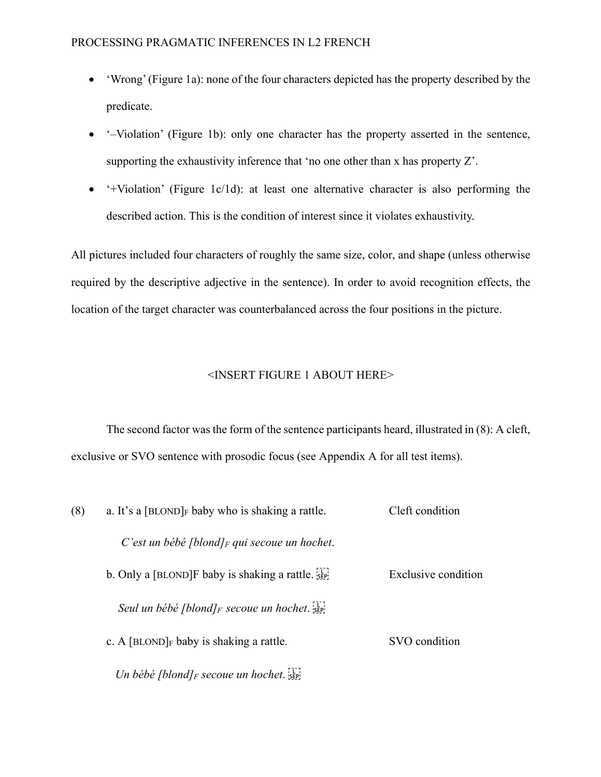- 'Wrong'(Figure 1a): none of the four characters depicted has the property described by the predicate.
- '–Violation' (Figure 1b): only one character has the property asserted in the sentence, supporting the exhaustivity inference that 'no one other than x has property Z'.
- '+Violation' (Figure 1c/1d): at least one alternative character is also performing the described action. This is the condition of interest since it violates exhaustivity.

All pictures included four characters of roughly the same size, color, and shape (unless otherwise required by the descriptive adjective in the sentence). In order to avoid recognition effects, the location of the target character was counterbalanced across the four positions in the picture.

# <INSERT FIGURE 1 ABOUT HERE>

The second factor was the form of the sentence participants heard, illustrated in (8): A cleft, exclusive or SVO sentence with prosodic focus (see Appendix A for all test items).

| (8) | a. It's a $[BLOND]_F$ baby who is shaking a rattle.             | Cleft condition     |
|-----|-----------------------------------------------------------------|---------------------|
|     | C'est un bébé [blond] $_F$ qui secoue un hochet.                |                     |
|     | b. Only a [BLOND] F baby is shaking a rattle. $\frac{1}{15}$    | Exclusive condition |
|     | Seul un bébé [blond] $_F$ secoue un hochet.                     |                     |
|     | c. A [BLOND] $_F$ baby is shaking a rattle.                     | SVO condition       |
|     | Un bébé [blond] <sub>F</sub> secoue un hochet. $\frac{1}{25}$ ] |                     |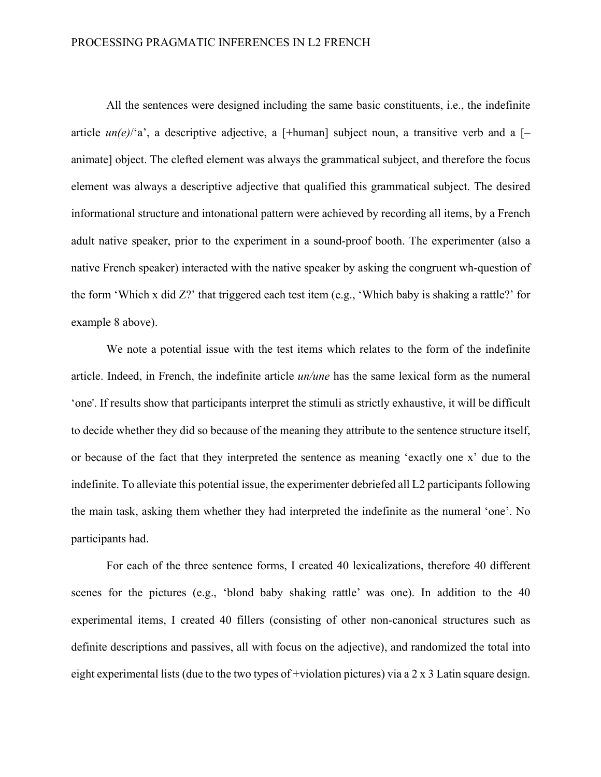All the sentences were designed including the same basic constituents, i.e., the indefinite article  $un(e)/a'$ , a descriptive adjective, a [+human] subject noun, a transitive verb and a [animate] object. The clefted element was always the grammatical subject, and therefore the focus element was always a descriptive adjective that qualified this grammatical subject. The desired informational structure and intonational pattern were achieved by recording all items, by a French adult native speaker, prior to the experiment in a sound-proof booth. The experimenter (also a native French speaker) interacted with the native speaker by asking the congruent wh-question of the form 'Which x did Z?' that triggered each test item (e.g., 'Which baby is shaking a rattle?' for example 8 above).

We note a potential issue with the test items which relates to the form of the indefinite article. Indeed, in French, the indefinite article *un/une* has the same lexical form as the numeral 'one'. If results show that participants interpret the stimuli as strictly exhaustive, it will be difficult to decide whether they did so because of the meaning they attribute to the sentence structure itself, or because of the fact that they interpreted the sentence as meaning 'exactly one x' due to the indefinite. To alleviate this potential issue, the experimenter debriefed all L2 participants following the main task, asking them whether they had interpreted the indefinite as the numeral 'one'. No participants had.

For each of the three sentence forms, I created 40 lexicalizations, therefore 40 different scenes for the pictures (e.g., 'blond baby shaking rattle' was one). In addition to the 40 experimental items, I created 40 fillers (consisting of other non-canonical structures such as definite descriptions and passives, all with focus on the adjective), and randomized the total into eight experimental lists (due to the two types of +violation pictures) via a 2 x 3 Latin square design.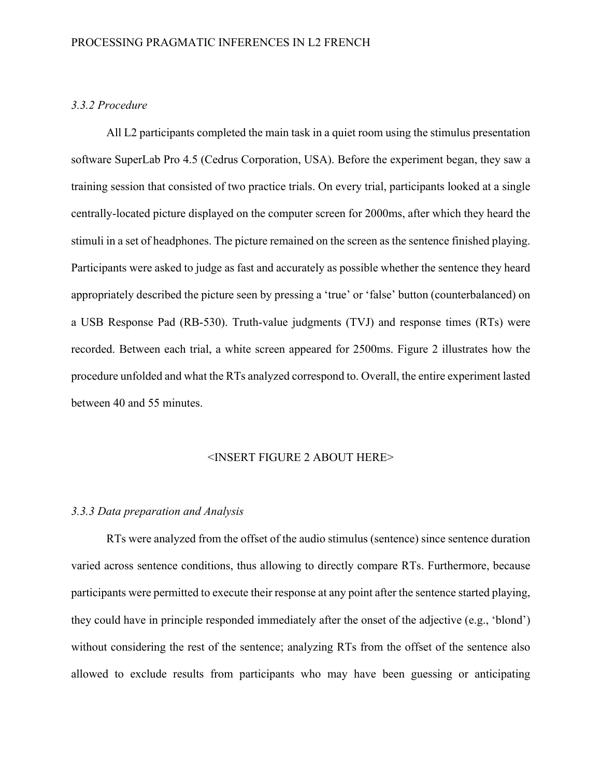# *3.3.2 Procedure*

All L2 participants completed the main task in a quiet room using the stimulus presentation software SuperLab Pro 4.5 (Cedrus Corporation, USA). Before the experiment began, they saw a training session that consisted of two practice trials. On every trial, participants looked at a single centrally-located picture displayed on the computer screen for 2000ms, after which they heard the stimuli in a set of headphones. The picture remained on the screen as the sentence finished playing. Participants were asked to judge as fast and accurately as possible whether the sentence they heard appropriately described the picture seen by pressing a 'true' or 'false' button (counterbalanced) on a USB Response Pad (RB-530). Truth-value judgments (TVJ) and response times (RTs) were recorded. Between each trial, a white screen appeared for 2500ms. Figure 2 illustrates how the procedure unfolded and what the RTs analyzed correspond to. Overall, the entire experiment lasted between 40 and 55 minutes.

## <INSERT FIGURE 2 ABOUT HERE>

# *3.3.3 Data preparation and Analysis*

RTs were analyzed from the offset of the audio stimulus (sentence) since sentence duration varied across sentence conditions, thus allowing to directly compare RTs. Furthermore, because participants were permitted to execute their response at any point after the sentence started playing, they could have in principle responded immediately after the onset of the adjective (e.g., 'blond') without considering the rest of the sentence; analyzing RTs from the offset of the sentence also allowed to exclude results from participants who may have been guessing or anticipating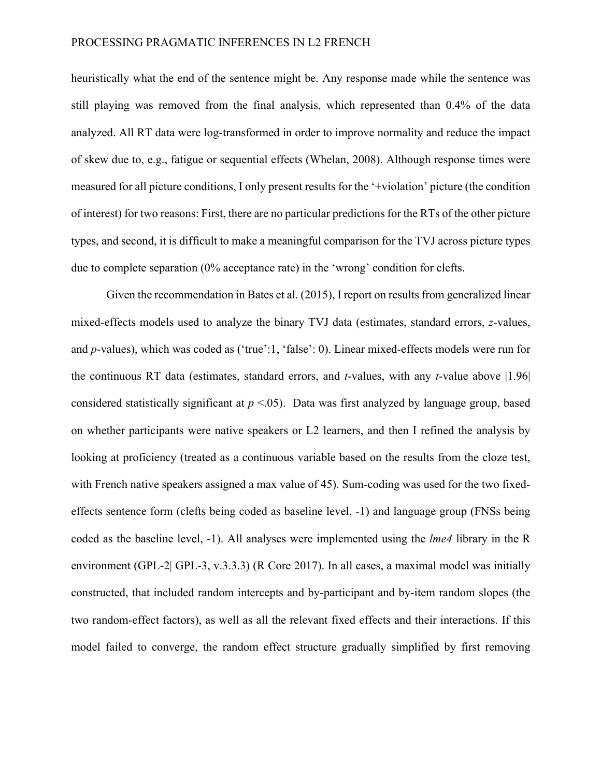heuristically what the end of the sentence might be. Any response made while the sentence was still playing was removed from the final analysis, which represented than 0.4% of the data analyzed. All RT data were log-transformed in order to improve normality and reduce the impact of skew due to, e.g., fatigue or sequential effects (Whelan, 2008). Although response times were measured for all picture conditions, I only present results for the '+violation' picture (the condition of interest) for two reasons: First, there are no particular predictions for the RTs of the other picture types, and second, it is difficult to make a meaningful comparison for the TVJ across picture types due to complete separation (0% acceptance rate) in the 'wrong' condition for clefts.

Given the recommendation in Bates et al. (2015), I report on results from generalized linear mixed-effects models used to analyze the binary TVJ data (estimates, standard errors, *z*-values, and *p*-values), which was coded as ('true':1, 'false': 0). Linear mixed-effects models were run for the continuous RT data (estimates, standard errors, and *t*-values, with any *t*-value above |1.96| considered statistically significant at *p* <.05). Data was first analyzed by language group, based on whether participants were native speakers or L2 learners, and then I refined the analysis by looking at proficiency (treated as a continuous variable based on the results from the cloze test, with French native speakers assigned a max value of 45). Sum-coding was used for the two fixedeffects sentence form (clefts being coded as baseline level, -1) and language group (FNSs being coded as the baseline level, -1). All analyses were implemented using the *lme4* library in the R environment (GPL-2| GPL-3, v.3.3.3) (R Core 2017). In all cases, a maximal model was initially constructed, that included random intercepts and by-participant and by-item random slopes (the two random-effect factors), as well as all the relevant fixed effects and their interactions. If this model failed to converge, the random effect structure gradually simplified by first removing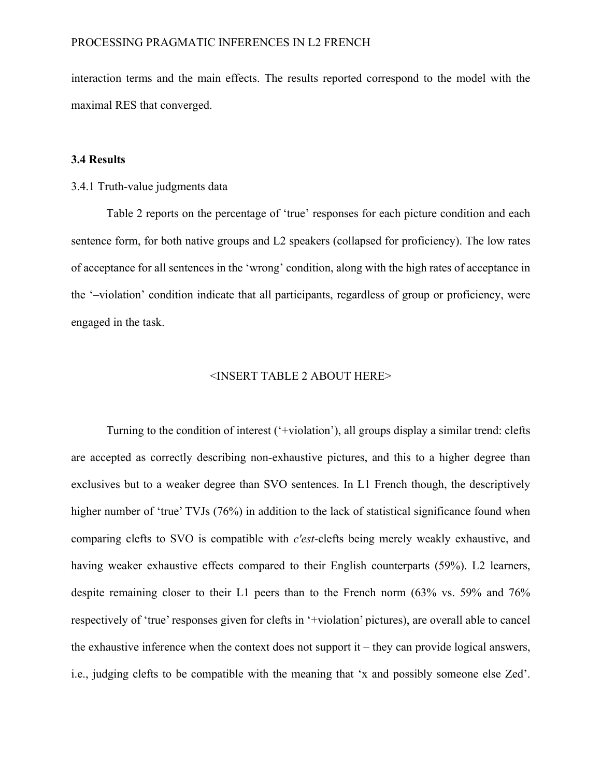interaction terms and the main effects. The results reported correspond to the model with the maximal RES that converged.

## **3.4 Results**

#### 3.4.1 Truth-value judgments data

Table 2 reports on the percentage of 'true' responses for each picture condition and each sentence form, for both native groups and L2 speakers (collapsed for proficiency). The low rates of acceptance for all sentences in the 'wrong' condition, along with the high rates of acceptance in the '–violation' condition indicate that all participants, regardless of group or proficiency, were engaged in the task.

#### <INSERT TABLE 2 ABOUT HERE>

Turning to the condition of interest ('+violation'), all groups display a similar trend: clefts are accepted as correctly describing non-exhaustive pictures, and this to a higher degree than exclusives but to a weaker degree than SVO sentences. In L1 French though, the descriptively higher number of 'true' TVJs (76%) in addition to the lack of statistical significance found when comparing clefts to SVO is compatible with *c'est-*clefts being merely weakly exhaustive, and having weaker exhaustive effects compared to their English counterparts (59%). L2 learners, despite remaining closer to their L1 peers than to the French norm (63% vs. 59% and 76% respectively of 'true' responses given for clefts in '+violation' pictures), are overall able to cancel the exhaustive inference when the context does not support it  $-$  they can provide logical answers, i.e., judging clefts to be compatible with the meaning that 'x and possibly someone else Zed'.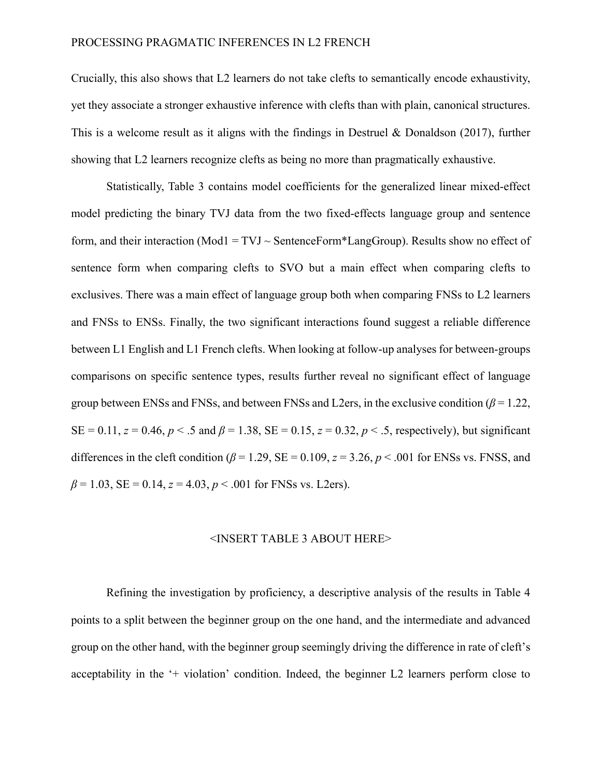## PROCESSING PRAGMATIC INFERENCES IN L2 FRENCH

Crucially, this also shows that L2 learners do not take clefts to semantically encode exhaustivity, yet they associate a stronger exhaustive inference with clefts than with plain, canonical structures. This is a welcome result as it aligns with the findings in Destruel & Donaldson (2017), further showing that L2 learners recognize clefts as being no more than pragmatically exhaustive.

Statistically, Table 3 contains model coefficients for the generalized linear mixed-effect model predicting the binary TVJ data from the two fixed-effects language group and sentence form, and their interaction (Mod1 =  $TVJ \sim$  SentenceForm\*LangGroup). Results show no effect of sentence form when comparing clefts to SVO but a main effect when comparing clefts to exclusives. There was a main effect of language group both when comparing FNSs to L2 learners and FNSs to ENSs. Finally, the two significant interactions found suggest a reliable difference between L1 English and L1 French clefts. When looking at follow-up analyses for between-groups comparisons on specific sentence types, results further reveal no significant effect of language group between ENSs and FNSs, and between FNSs and L2ers, in the exclusive condition  $(\beta = 1.22, \beta)$  $SE = 0.11$ ,  $z = 0.46$ ,  $p < .5$  and  $\beta = 1.38$ ,  $SE = 0.15$ ,  $z = 0.32$ ,  $p < .5$ , respectively), but significant differences in the cleft condition ( $\beta$  = 1.29, SE = 0.109,  $z$  = 3.26,  $p$  < .001 for ENSs vs. FNSS, and  $\beta$  = 1.03, SE = 0.14, *z* = 4.03, *p* < .001 for FNSs vs. L2ers).

#### <INSERT TABLE 3 ABOUT HERE>

Refining the investigation by proficiency, a descriptive analysis of the results in Table 4 points to a split between the beginner group on the one hand, and the intermediate and advanced group on the other hand, with the beginner group seemingly driving the difference in rate of cleft's acceptability in the '+ violation' condition. Indeed, the beginner L2 learners perform close to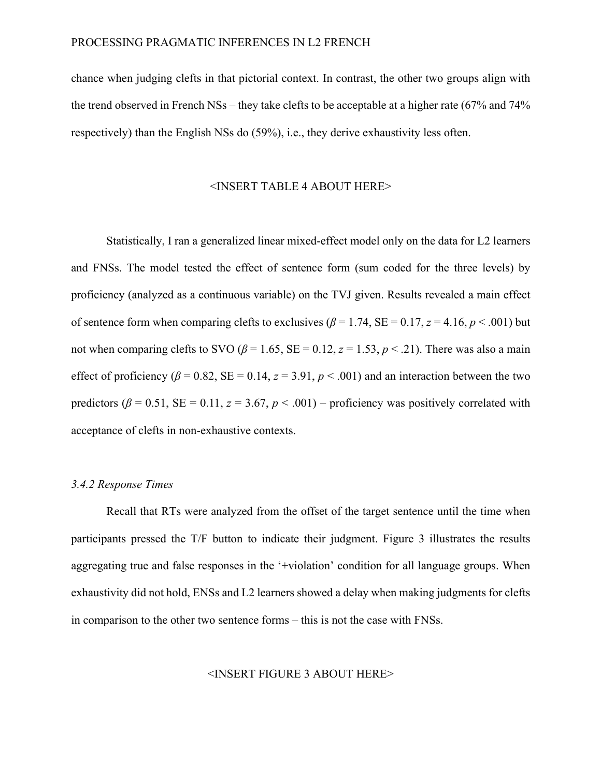chance when judging clefts in that pictorial context. In contrast, the other two groups align with the trend observed in French NSs – they take clefts to be acceptable at a higher rate (67% and 74% respectively) than the English NSs do (59%), i.e., they derive exhaustivity less often.

#### <INSERT TABLE 4 ABOUT HERE>

Statistically, I ran a generalized linear mixed-effect model only on the data for L2 learners and FNSs. The model tested the effect of sentence form (sum coded for the three levels) by proficiency (analyzed as a continuous variable) on the TVJ given. Results revealed a main effect of sentence form when comparing clefts to exclusives ( $\beta$  = 1.74, SE = 0.17, *z* = 4.16, *p* < .001) but not when comparing clefts to SVO ( $\beta$  = 1.65, SE = 0.12,  $z$  = 1.53,  $p < 0.21$ ). There was also a main effect of proficiency ( $\beta$  = 0.82, SE = 0.14,  $z$  = 3.91,  $p$  < .001) and an interaction between the two predictors ( $\beta$  = 0.51, SE = 0.11,  $z$  = 3.67,  $p$  < .001) – proficiency was positively correlated with acceptance of clefts in non-exhaustive contexts.

# *3.4.2 Response Times*

Recall that RTs were analyzed from the offset of the target sentence until the time when participants pressed the T/F button to indicate their judgment. Figure 3 illustrates the results aggregating true and false responses in the '+violation' condition for all language groups. When exhaustivity did not hold, ENSs and L2 learners showed a delay when making judgments for clefts in comparison to the other two sentence forms – this is not the case with FNSs.

#### <INSERT FIGURE 3 ABOUT HERE>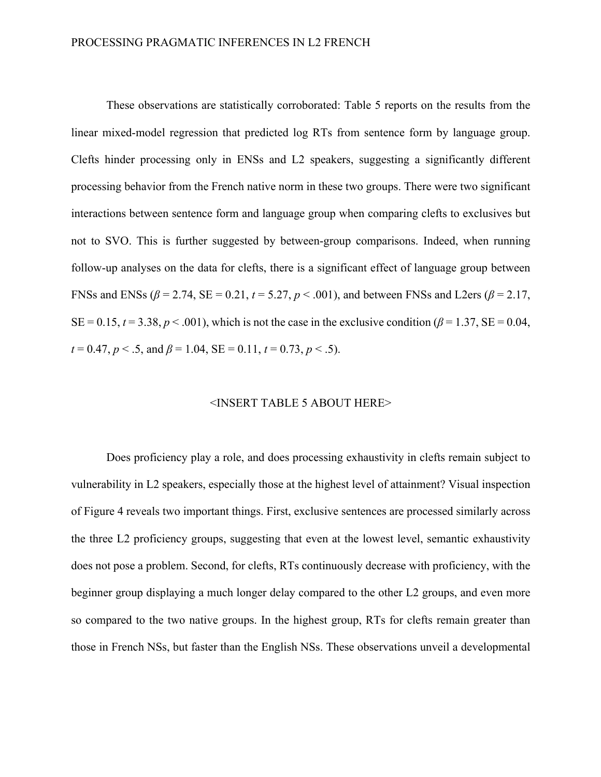These observations are statistically corroborated: Table 5 reports on the results from the linear mixed-model regression that predicted log RTs from sentence form by language group. Clefts hinder processing only in ENSs and L2 speakers, suggesting a significantly different processing behavior from the French native norm in these two groups. There were two significant interactions between sentence form and language group when comparing clefts to exclusives but not to SVO. This is further suggested by between-group comparisons. Indeed, when running follow-up analyses on the data for clefts, there is a significant effect of language group between FNSs and ENSs ( $β = 2.74$ , SE = 0.21,  $t = 5.27$ ,  $p < .001$ ), and between FNSs and L2ers ( $β = 2.17$ ,  $SE = 0.15$ ,  $t = 3.38$ ,  $p < .001$ ), which is not the case in the exclusive condition ( $\beta = 1.37$ ,  $SE = 0.04$ ,  $t = 0.47, p < .5$ , and  $\beta = 1.04$ , SE = 0.11,  $t = 0.73, p < .5$ ).

#### <INSERT TABLE 5 ABOUT HERE>

Does proficiency play a role, and does processing exhaustivity in clefts remain subject to vulnerability in L2 speakers, especially those at the highest level of attainment? Visual inspection of Figure 4 reveals two important things. First, exclusive sentences are processed similarly across the three L2 proficiency groups, suggesting that even at the lowest level, semantic exhaustivity does not pose a problem. Second, for clefts, RTs continuously decrease with proficiency, with the beginner group displaying a much longer delay compared to the other L2 groups, and even more so compared to the two native groups. In the highest group, RTs for clefts remain greater than those in French NSs, but faster than the English NSs. These observations unveil a developmental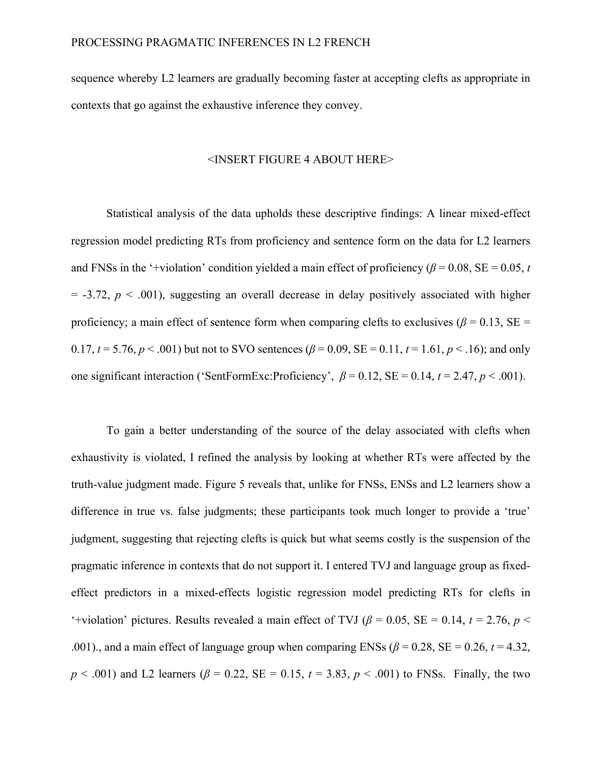sequence whereby L2 learners are gradually becoming faster at accepting clefts as appropriate in contexts that go against the exhaustive inference they convey.

#### <INSERT FIGURE 4 ABOUT HERE>

Statistical analysis of the data upholds these descriptive findings: A linear mixed-effect regression model predicting RTs from proficiency and sentence form on the data for L2 learners and FNSs in the '+violation' condition yielded a main effect of proficiency ( $\beta$  = 0.08, SE = 0.05, *t*  $=$  -3.72,  $p \leq 0.001$ ), suggesting an overall decrease in delay positively associated with higher proficiency; a main effect of sentence form when comparing clefts to exclusives ( $\beta$  = 0.13, SE = 0.17,  $t = 5.76$ ,  $p < .001$ ) but not to SVO sentences ( $\beta = 0.09$ , SE = 0.11,  $t = 1.61$ ,  $p < .16$ ); and only one significant interaction ('SentFormExc:Proficiency',  $\beta = 0.12$ , SE = 0.14,  $t = 2.47$ ,  $p < .001$ ).

To gain a better understanding of the source of the delay associated with clefts when exhaustivity is violated, I refined the analysis by looking at whether RTs were affected by the truth-value judgment made. Figure 5 reveals that, unlike for FNSs, ENSs and L2 learners show a difference in true vs. false judgments; these participants took much longer to provide a 'true' judgment, suggesting that rejecting clefts is quick but what seems costly is the suspension of the pragmatic inference in contexts that do not support it. I entered TVJ and language group as fixedeffect predictors in a mixed-effects logistic regression model predicting RTs for clefts in '+violation' pictures. Results revealed a main effect of TVJ ( $\beta$  = 0.05, SE = 0.14, *t* = 2.76, *p* < .001)., and a main effect of language group when comparing ENSs ( $\beta$  = 0.28, SE = 0.26, *t* = 4.32, *p* < .001) and L2 learners ( $\beta$  = 0.22, SE = 0.15, *t* = 3.83, *p* < .001) to FNSs. Finally, the two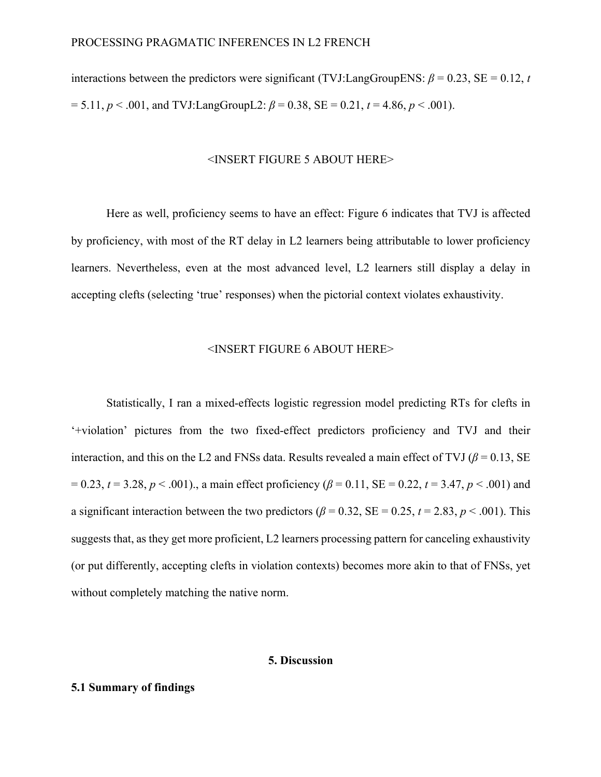interactions between the predictors were significant (TVJ:LangGroupENS:  $\beta = 0.23$ , SE = 0.12, *t*  $= 5.11, p < .001$ , and TVJ:LangGroupL2:  $\beta = 0.38$ , SE = 0.21,  $t = 4.86, p < .001$ ).

#### <INSERT FIGURE 5 ABOUT HERE>

Here as well, proficiency seems to have an effect: Figure 6 indicates that TVJ is affected by proficiency, with most of the RT delay in L2 learners being attributable to lower proficiency learners. Nevertheless, even at the most advanced level, L2 learners still display a delay in accepting clefts (selecting 'true' responses) when the pictorial context violates exhaustivity.

## <INSERT FIGURE 6 ABOUT HERE>

Statistically, I ran a mixed-effects logistic regression model predicting RTs for clefts in '+violation' pictures from the two fixed-effect predictors proficiency and TVJ and their interaction, and this on the L2 and FNSs data. Results revealed a main effect of TVJ ( $\beta$  = 0.13, SE  $= 0.23$ ,  $t = 3.28$ ,  $p < .001$ )., a main effect proficiency ( $\beta = 0.11$ , SE = 0.22,  $t = 3.47$ ,  $p < .001$ ) and a significant interaction between the two predictors ( $\beta$  = 0.32, SE = 0.25,  $t$  = 2.83,  $p$  < .001). This suggests that, as they get more proficient, L2 learners processing pattern for canceling exhaustivity (or put differently, accepting clefts in violation contexts) becomes more akin to that of FNSs, yet without completely matching the native norm.

# **5. Discussion**

# **5.1 Summary of findings**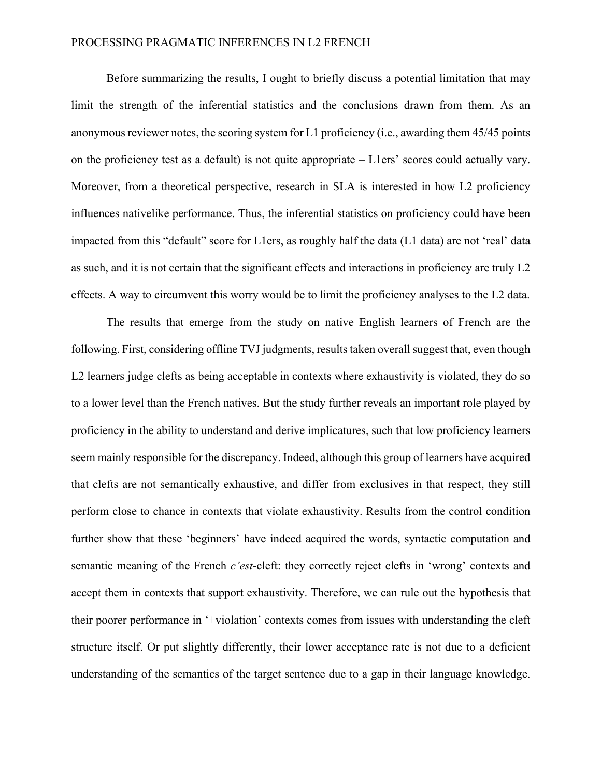## PROCESSING PRAGMATIC INFERENCES IN L2 FRENCH

Before summarizing the results, I ought to briefly discuss a potential limitation that may limit the strength of the inferential statistics and the conclusions drawn from them. As an anonymous reviewer notes, the scoring system for L1 proficiency (i.e., awarding them 45/45 points on the proficiency test as a default) is not quite appropriate – L1ers' scores could actually vary. Moreover, from a theoretical perspective, research in SLA is interested in how L2 proficiency influences nativelike performance. Thus, the inferential statistics on proficiency could have been impacted from this "default" score for L1ers, as roughly half the data (L1 data) are not 'real' data as such, and it is not certain that the significant effects and interactions in proficiency are truly L2 effects. A way to circumvent this worry would be to limit the proficiency analyses to the L2 data.

The results that emerge from the study on native English learners of French are the following. First, considering offline TVJ judgments, results taken overall suggest that, even though L2 learners judge clefts as being acceptable in contexts where exhaustivity is violated, they do so to a lower level than the French natives. But the study further reveals an important role played by proficiency in the ability to understand and derive implicatures, such that low proficiency learners seem mainly responsible for the discrepancy. Indeed, although this group of learners have acquired that clefts are not semantically exhaustive, and differ from exclusives in that respect, they still perform close to chance in contexts that violate exhaustivity. Results from the control condition further show that these 'beginners' have indeed acquired the words, syntactic computation and semantic meaning of the French *c'est*-cleft: they correctly reject clefts in 'wrong' contexts and accept them in contexts that support exhaustivity. Therefore, we can rule out the hypothesis that their poorer performance in '+violation' contexts comes from issues with understanding the cleft structure itself. Or put slightly differently, their lower acceptance rate is not due to a deficient understanding of the semantics of the target sentence due to a gap in their language knowledge.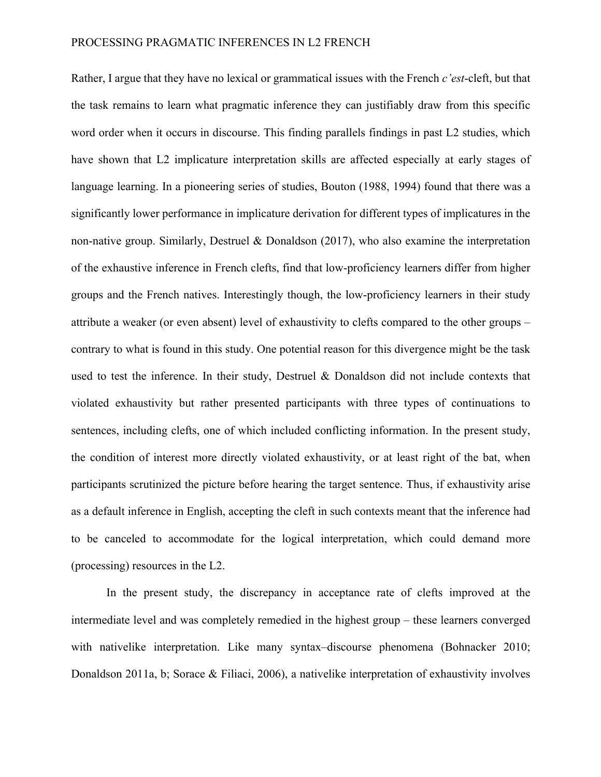Rather, I argue that they have no lexical or grammatical issues with the French *c'est*-cleft, but that the task remains to learn what pragmatic inference they can justifiably draw from this specific word order when it occurs in discourse. This finding parallels findings in past L2 studies, which have shown that L2 implicature interpretation skills are affected especially at early stages of language learning. In a pioneering series of studies, Bouton (1988, 1994) found that there was a significantly lower performance in implicature derivation for different types of implicatures in the non-native group. Similarly, Destruel & Donaldson (2017), who also examine the interpretation of the exhaustive inference in French clefts, find that low-proficiency learners differ from higher groups and the French natives. Interestingly though, the low-proficiency learners in their study attribute a weaker (or even absent) level of exhaustivity to clefts compared to the other groups – contrary to what is found in this study. One potential reason for this divergence might be the task used to test the inference. In their study, Destruel & Donaldson did not include contexts that violated exhaustivity but rather presented participants with three types of continuations to sentences, including clefts, one of which included conflicting information. In the present study, the condition of interest more directly violated exhaustivity, or at least right of the bat, when participants scrutinized the picture before hearing the target sentence. Thus, if exhaustivity arise as a default inference in English, accepting the cleft in such contexts meant that the inference had to be canceled to accommodate for the logical interpretation, which could demand more (processing) resources in the L2.

In the present study, the discrepancy in acceptance rate of clefts improved at the intermediate level and was completely remedied in the highest group – these learners converged with nativelike interpretation. Like many syntax–discourse phenomena (Bohnacker 2010; Donaldson 2011a, b; Sorace & Filiaci, 2006), a nativelike interpretation of exhaustivity involves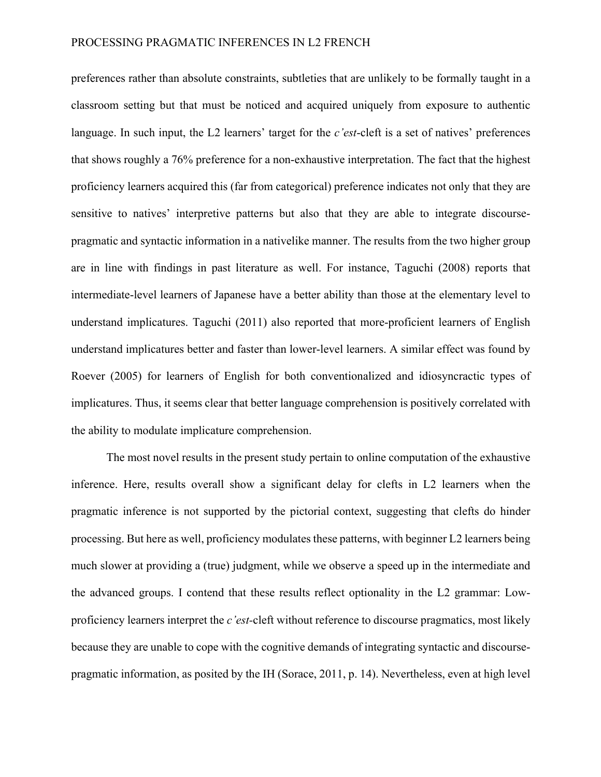preferences rather than absolute constraints, subtleties that are unlikely to be formally taught in a classroom setting but that must be noticed and acquired uniquely from exposure to authentic language. In such input, the L2 learners' target for the *c'est*-cleft is a set of natives' preferences that shows roughly a 76% preference for a non-exhaustive interpretation. The fact that the highest proficiency learners acquired this (far from categorical) preference indicates not only that they are sensitive to natives' interpretive patterns but also that they are able to integrate discoursepragmatic and syntactic information in a nativelike manner. The results from the two higher group are in line with findings in past literature as well. For instance, Taguchi (2008) reports that intermediate-level learners of Japanese have a better ability than those at the elementary level to understand implicatures. Taguchi (2011) also reported that more-proficient learners of English understand implicatures better and faster than lower-level learners. A similar effect was found by Roever (2005) for learners of English for both conventionalized and idiosyncractic types of implicatures. Thus, it seems clear that better language comprehension is positively correlated with the ability to modulate implicature comprehension.

The most novel results in the present study pertain to online computation of the exhaustive inference. Here, results overall show a significant delay for clefts in L2 learners when the pragmatic inference is not supported by the pictorial context, suggesting that clefts do hinder processing. But here as well, proficiency modulates these patterns, with beginner L2 learners being much slower at providing a (true) judgment, while we observe a speed up in the intermediate and the advanced groups. I contend that these results reflect optionality in the L2 grammar: Lowproficiency learners interpret the *c'est-*cleft without reference to discourse pragmatics, most likely because they are unable to cope with the cognitive demands of integrating syntactic and discoursepragmatic information, as posited by the IH (Sorace, 2011, p. 14). Nevertheless, even at high level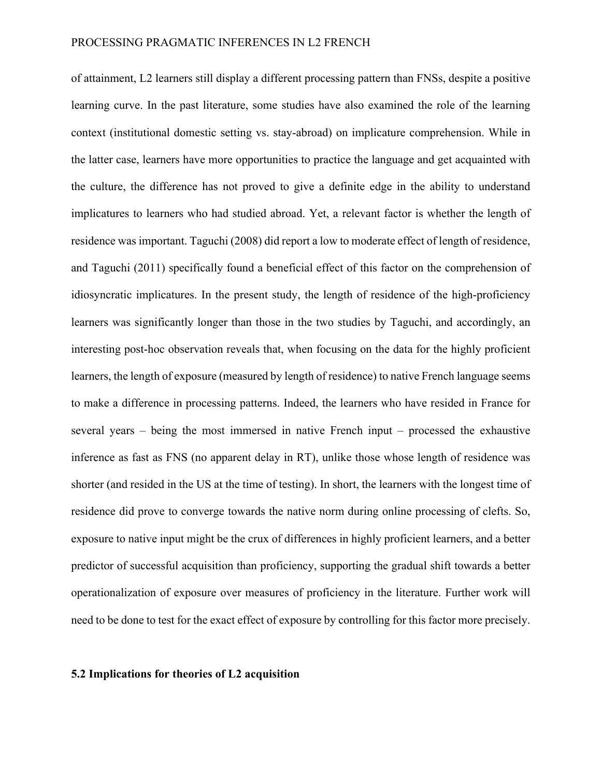of attainment, L2 learners still display a different processing pattern than FNSs, despite a positive learning curve. In the past literature, some studies have also examined the role of the learning context (institutional domestic setting vs. stay-abroad) on implicature comprehension. While in the latter case, learners have more opportunities to practice the language and get acquainted with the culture, the difference has not proved to give a definite edge in the ability to understand implicatures to learners who had studied abroad. Yet, a relevant factor is whether the length of residence was important. Taguchi (2008) did report a low to moderate effect of length of residence, and Taguchi (2011) specifically found a beneficial effect of this factor on the comprehension of idiosyncratic implicatures. In the present study, the length of residence of the high-proficiency learners was significantly longer than those in the two studies by Taguchi, and accordingly, an interesting post-hoc observation reveals that, when focusing on the data for the highly proficient learners, the length of exposure (measured by length of residence) to native French language seems to make a difference in processing patterns. Indeed, the learners who have resided in France for several years – being the most immersed in native French input – processed the exhaustive inference as fast as FNS (no apparent delay in RT), unlike those whose length of residence was shorter (and resided in the US at the time of testing). In short, the learners with the longest time of residence did prove to converge towards the native norm during online processing of clefts. So, exposure to native input might be the crux of differences in highly proficient learners, and a better predictor of successful acquisition than proficiency, supporting the gradual shift towards a better operationalization of exposure over measures of proficiency in the literature. Further work will need to be done to test for the exact effect of exposure by controlling for this factor more precisely.

#### **5.2 Implications for theories of L2 acquisition**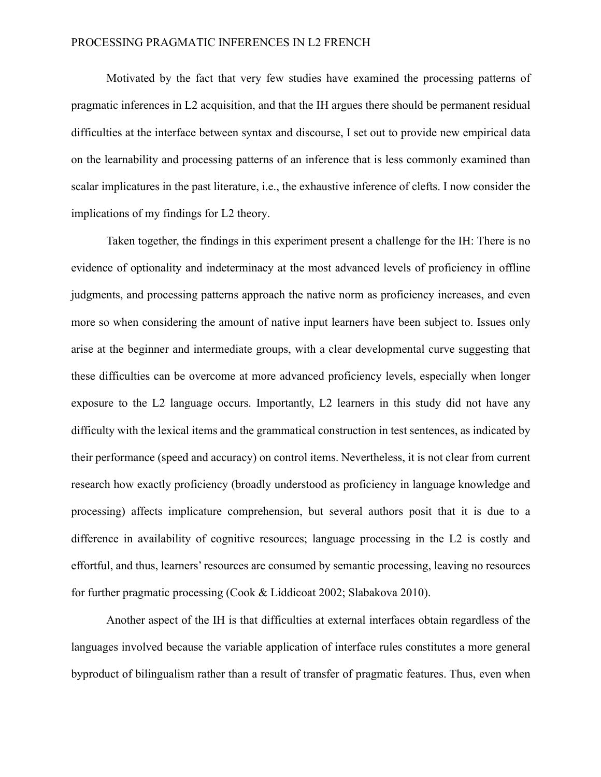Motivated by the fact that very few studies have examined the processing patterns of pragmatic inferences in L2 acquisition, and that the IH argues there should be permanent residual difficulties at the interface between syntax and discourse, I set out to provide new empirical data on the learnability and processing patterns of an inference that is less commonly examined than scalar implicatures in the past literature, i.e., the exhaustive inference of clefts. I now consider the implications of my findings for L2 theory.

Taken together, the findings in this experiment present a challenge for the IH: There is no evidence of optionality and indeterminacy at the most advanced levels of proficiency in offline judgments, and processing patterns approach the native norm as proficiency increases, and even more so when considering the amount of native input learners have been subject to. Issues only arise at the beginner and intermediate groups, with a clear developmental curve suggesting that these difficulties can be overcome at more advanced proficiency levels, especially when longer exposure to the L2 language occurs. Importantly, L2 learners in this study did not have any difficulty with the lexical items and the grammatical construction in test sentences, as indicated by their performance (speed and accuracy) on control items. Nevertheless, it is not clear from current research how exactly proficiency (broadly understood as proficiency in language knowledge and processing) affects implicature comprehension, but several authors posit that it is due to a difference in availability of cognitive resources; language processing in the L2 is costly and effortful, and thus, learners' resources are consumed by semantic processing, leaving no resources for further pragmatic processing (Cook & Liddicoat 2002; Slabakova 2010).

Another aspect of the IH is that difficulties at external interfaces obtain regardless of the languages involved because the variable application of interface rules constitutes a more general byproduct of bilingualism rather than a result of transfer of pragmatic features. Thus, even when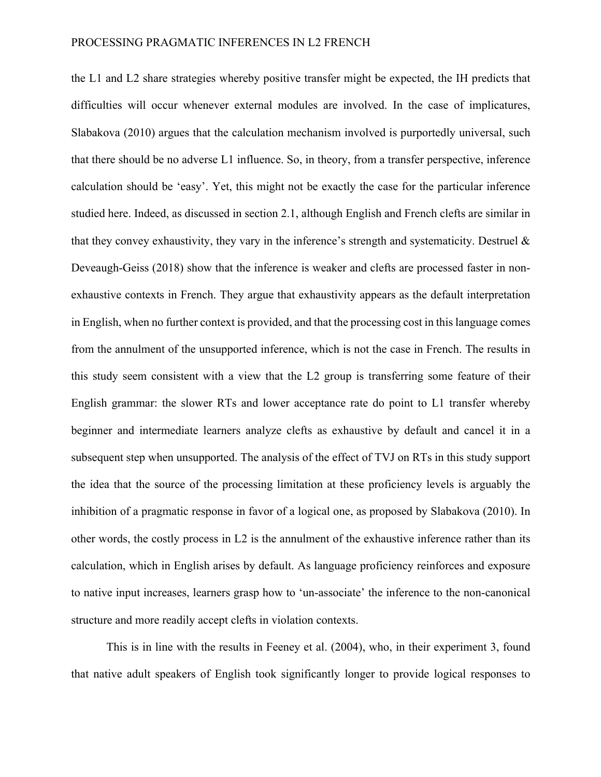the L1 and L2 share strategies whereby positive transfer might be expected, the IH predicts that difficulties will occur whenever external modules are involved. In the case of implicatures, Slabakova (2010) argues that the calculation mechanism involved is purportedly universal, such that there should be no adverse L1 influence. So, in theory, from a transfer perspective, inference calculation should be 'easy'. Yet, this might not be exactly the case for the particular inference studied here. Indeed, as discussed in section 2.1, although English and French clefts are similar in that they convey exhaustivity, they vary in the inference's strength and systematicity. Destruel  $\&$ Deveaugh-Geiss (2018) show that the inference is weaker and clefts are processed faster in nonexhaustive contexts in French. They argue that exhaustivity appears as the default interpretation in English, when no further context is provided, and that the processing cost in this language comes from the annulment of the unsupported inference, which is not the case in French. The results in this study seem consistent with a view that the L2 group is transferring some feature of their English grammar: the slower RTs and lower acceptance rate do point to L1 transfer whereby beginner and intermediate learners analyze clefts as exhaustive by default and cancel it in a subsequent step when unsupported. The analysis of the effect of TVJ on RTs in this study support the idea that the source of the processing limitation at these proficiency levels is arguably the inhibition of a pragmatic response in favor of a logical one, as proposed by Slabakova (2010). In other words, the costly process in L2 is the annulment of the exhaustive inference rather than its calculation, which in English arises by default. As language proficiency reinforces and exposure to native input increases, learners grasp how to 'un-associate' the inference to the non-canonical structure and more readily accept clefts in violation contexts.

This is in line with the results in Feeney et al. (2004), who, in their experiment 3, found that native adult speakers of English took significantly longer to provide logical responses to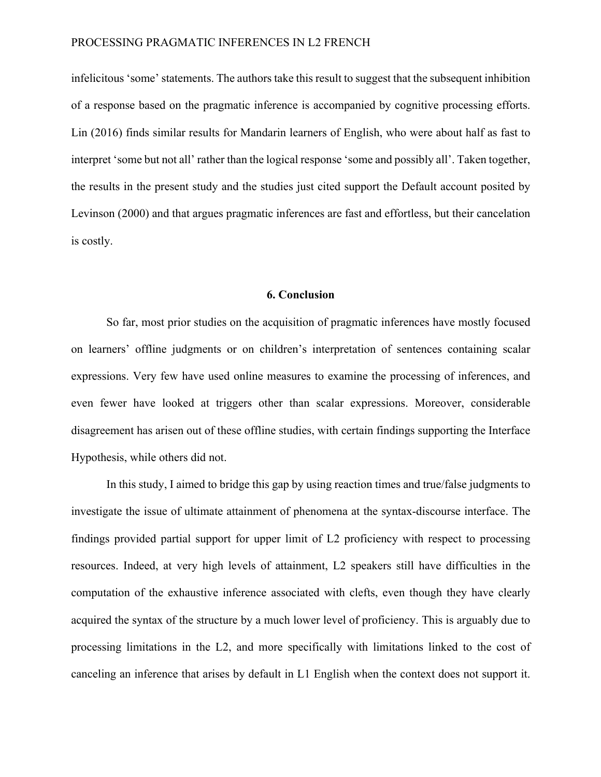infelicitous 'some' statements. The authors take this result to suggest that the subsequent inhibition of a response based on the pragmatic inference is accompanied by cognitive processing efforts. Lin (2016) finds similar results for Mandarin learners of English, who were about half as fast to interpret 'some but not all' rather than the logical response 'some and possibly all'. Taken together, the results in the present study and the studies just cited support the Default account posited by Levinson (2000) and that argues pragmatic inferences are fast and effortless, but their cancelation is costly.

#### **6. Conclusion**

So far, most prior studies on the acquisition of pragmatic inferences have mostly focused on learners' offline judgments or on children's interpretation of sentences containing scalar expressions. Very few have used online measures to examine the processing of inferences, and even fewer have looked at triggers other than scalar expressions. Moreover, considerable disagreement has arisen out of these offline studies, with certain findings supporting the Interface Hypothesis, while others did not.

In this study, I aimed to bridge this gap by using reaction times and true/false judgments to investigate the issue of ultimate attainment of phenomena at the syntax-discourse interface. The findings provided partial support for upper limit of L2 proficiency with respect to processing resources. Indeed, at very high levels of attainment, L2 speakers still have difficulties in the computation of the exhaustive inference associated with clefts, even though they have clearly acquired the syntax of the structure by a much lower level of proficiency. This is arguably due to processing limitations in the L2, and more specifically with limitations linked to the cost of canceling an inference that arises by default in L1 English when the context does not support it.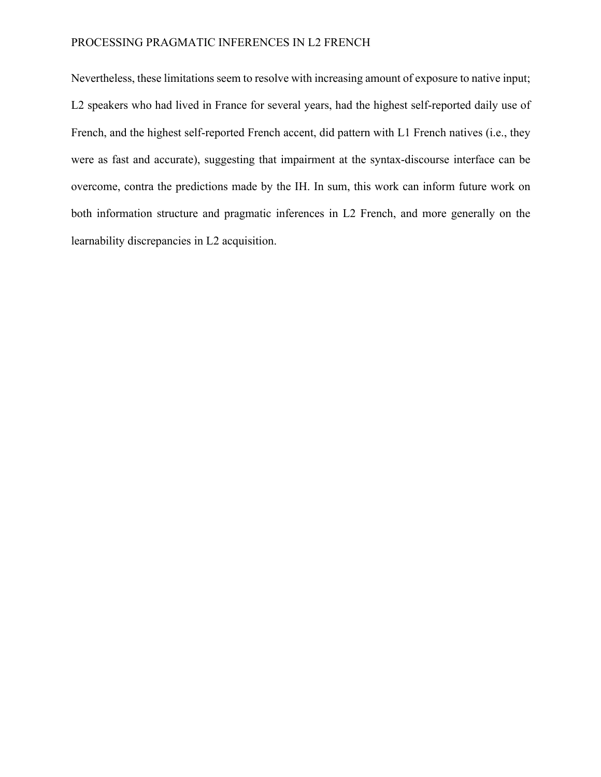# PROCESSING PRAGMATIC INFERENCES IN L2 FRENCH

Nevertheless, these limitations seem to resolve with increasing amount of exposure to native input; L2 speakers who had lived in France for several years, had the highest self-reported daily use of French, and the highest self-reported French accent, did pattern with L1 French natives (i.e., they were as fast and accurate), suggesting that impairment at the syntax-discourse interface can be overcome, contra the predictions made by the IH. In sum, this work can inform future work on both information structure and pragmatic inferences in L2 French, and more generally on the learnability discrepancies in L2 acquisition.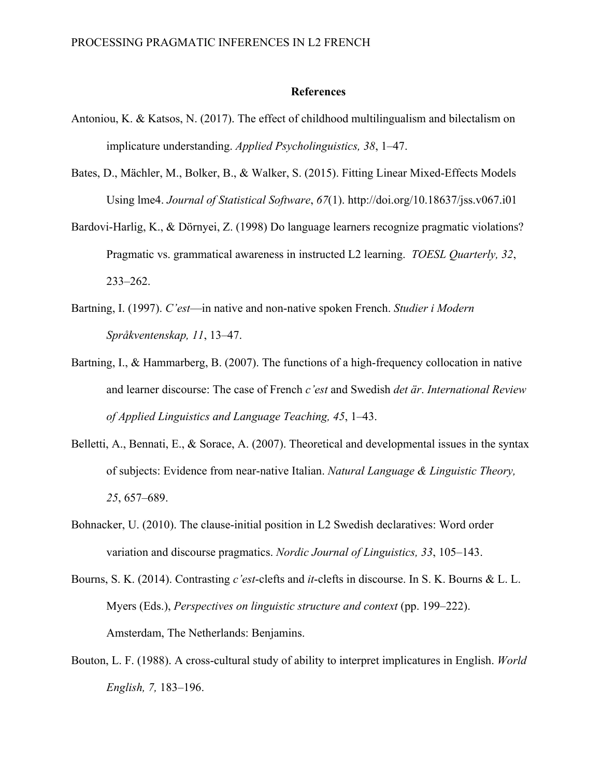#### **References**

- Antoniou, K. & Katsos, N. (2017). The effect of childhood multilingualism and bilectalism on implicature understanding. *Applied Psycholinguistics, 38*, 1–47.
- Bates, D., Mächler, M., Bolker, B., & Walker, S. (2015). Fitting Linear Mixed-Effects Models Using lme4. *Journal of Statistical Software*, *67*(1). http://doi.org/10.18637/jss.v067.i01
- Bardovi-Harlig, K., & Dörnyei, Z. (1998) Do language learners recognize pragmatic violations? Pragmatic vs. grammatical awareness in instructed L2 learning. *TOESL Quarterly, 32*, 233–262.
- Bartning, I. (1997). *C'est*—in native and non-native spoken French. *Studier i Modern Språkventenskap, 11*, 13–47.
- Bartning, I., & Hammarberg, B. (2007). The functions of a high-frequency collocation in native and learner discourse: The case of French *c'est* and Swedish *det är*. *International Review of Applied Linguistics and Language Teaching, 45*, 1–43.
- Belletti, A., Bennati, E., & Sorace, A. (2007). Theoretical and developmental issues in the syntax of subjects: Evidence from near-native Italian. *Natural Language & Linguistic Theory, 25*, 657–689.
- Bohnacker, U. (2010). The clause-initial position in L2 Swedish declaratives: Word order variation and discourse pragmatics. *Nordic Journal of Linguistics, 33*, 105–143.
- Bourns, S. K. (2014). Contrasting *c'est*-clefts and *it*-clefts in discourse. In S. K. Bourns & L. L. Myers (Eds.), *Perspectives on linguistic structure and context* (pp. 199–222). Amsterdam, The Netherlands: Benjamins.
- Bouton, L. F. (1988). A cross-cultural study of ability to interpret implicatures in English. *World English, 7,* 183–196.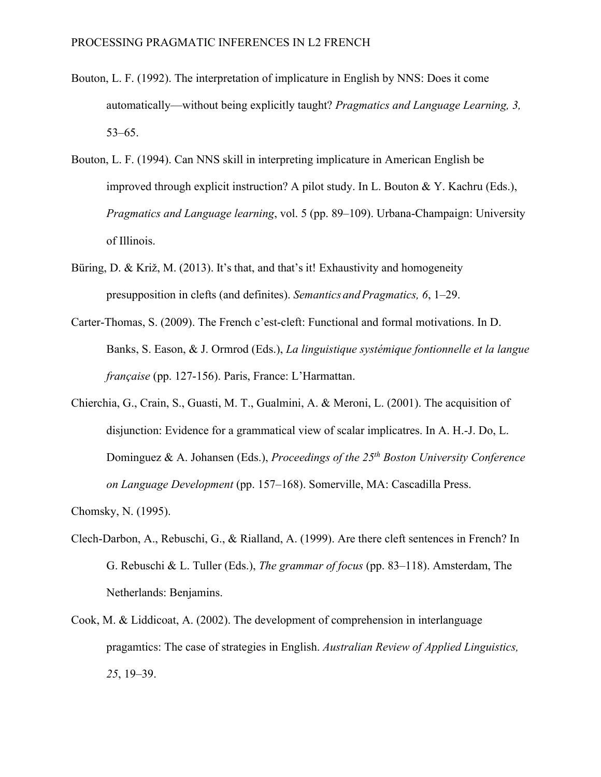- Bouton, L. F. (1992). The interpretation of implicature in English by NNS: Does it come automatically—without being explicitly taught? *Pragmatics and Language Learning, 3,*  53–65.
- Bouton, L. F. (1994). Can NNS skill in interpreting implicature in American English be improved through explicit instruction? A pilot study. In L. Bouton & Y. Kachru (Eds.), *Pragmatics and Language learning*, vol. 5 (pp. 89–109). Urbana-Champaign: University of Illinois.
- Büring, D. & Križ, M. (2013). It's that, and that's it! Exhaustivity and homogeneity presupposition in clefts (and definites). *Semantics andPragmatics, 6*, 1–29.
- Carter-Thomas, S. (2009). The French c'est-cleft: Functional and formal motivations. In D. Banks, S. Eason, & J. Ormrod (Eds.), *La linguistique systémique fontionnelle et la langue française* (pp. 127-156). Paris, France: L'Harmattan.
- Chierchia, G., Crain, S., Guasti, M. T., Gualmini, A. & Meroni, L. (2001). The acquisition of disjunction: Evidence for a grammatical view of scalar implicatres. In A. H.-J. Do, L. Dominguez & A. Johansen (Eds.), *Proceedings of the 25th Boston University Conference on Language Development* (pp. 157–168). Somerville, MA: Cascadilla Press.

- Clech-Darbon, A., Rebuschi, G., & Rialland, A. (1999). Are there cleft sentences in French? In G. Rebuschi & L. Tuller (Eds.), *The grammar of focus* (pp. 83–118). Amsterdam, The Netherlands: Benjamins.
- Cook, M. & Liddicoat, A. (2002). The development of comprehension in interlanguage pragamtics: The case of strategies in English. *Australian Review of Applied Linguistics, 25*, 19–39.

Chomsky, N. (1995).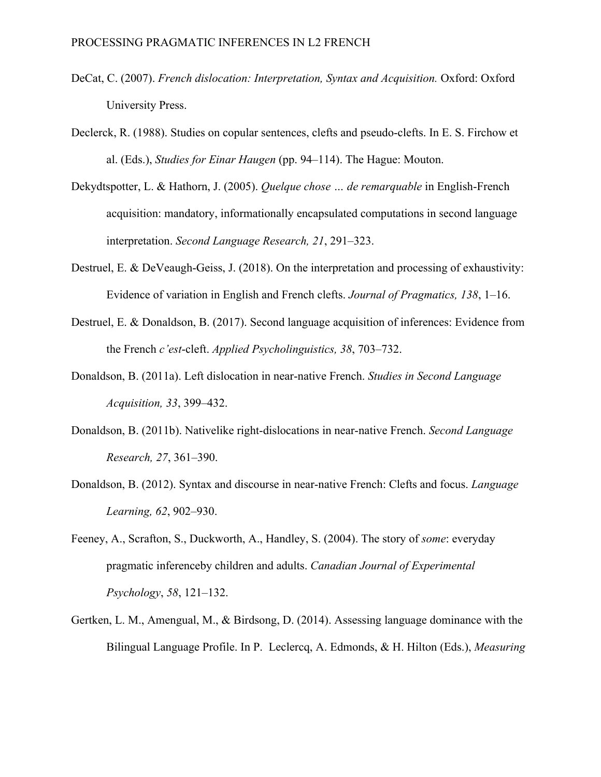- DeCat, C. (2007). *French dislocation: Interpretation, Syntax and Acquisition.* Oxford: Oxford University Press.
- Declerck, R. (1988). Studies on copular sentences, clefts and pseudo-clefts. In E. S. Firchow et al. (Eds.), *Studies for Einar Haugen* (pp. 94–114). The Hague: Mouton.
- Dekydtspotter, L. & Hathorn, J. (2005). *Quelque chose … de remarquable* in English-French acquisition: mandatory, informationally encapsulated computations in second language interpretation. *Second Language Research, 21*, 291–323.
- Destruel, E. & DeVeaugh-Geiss, J. (2018). On the interpretation and processing of exhaustivity: Evidence of variation in English and French clefts. *Journal of Pragmatics, 138*, 1–16.
- Destruel, E. & Donaldson, B. (2017). Second language acquisition of inferences: Evidence from the French *c'est*-cleft. *Applied Psycholinguistics, 38*, 703–732.
- Donaldson, B. (2011a). Left dislocation in near-native French. *Studies in Second Language Acquisition, 33*, 399–432.
- Donaldson, B. (2011b). Nativelike right-dislocations in near-native French. *Second Language Research, 27*, 361–390.
- Donaldson, B. (2012). Syntax and discourse in near-native French: Clefts and focus. *Language Learning, 62*, 902–930.
- Feeney, A., Scrafton, S., Duckworth, A., Handley, S. (2004). The story of *some*: everyday pragmatic inferenceby children and adults. *Canadian Journal of Experimental Psychology*, *58*, 121–132.
- Gertken, L. M., Amengual, M., & Birdsong, D. (2014). Assessing language dominance with the Bilingual Language Profile. In P. Leclercq, A. Edmonds, & H. Hilton (Eds.), *Measuring*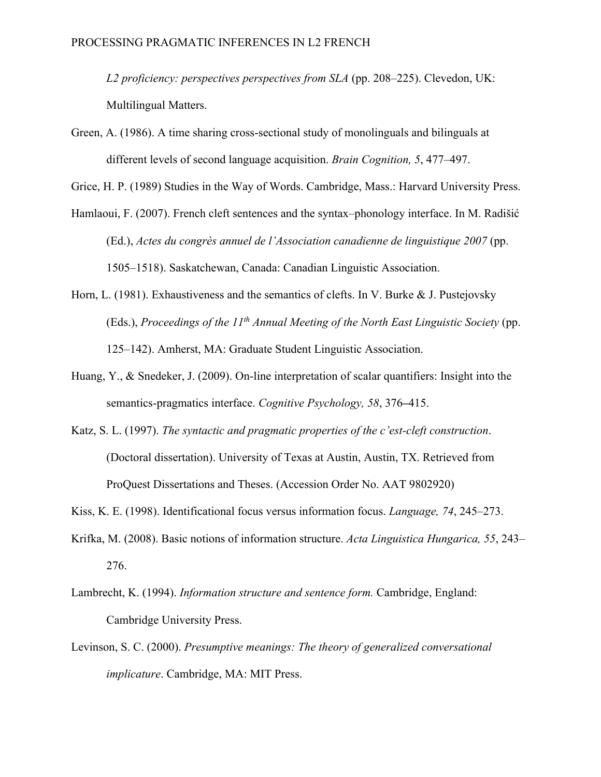*L2 proficiency: perspectives perspectives from SLA* (pp. 208–225). Clevedon, UK: Multilingual Matters.

Green, A. (1986). A time sharing cross-sectional study of monolinguals and bilinguals at different levels of second language acquisition. *Brain Cognition, 5*, 477–497.

Grice, H. P. (1989) Studies in the Way of Words. Cambridge, Mass.: Harvard University Press.

- Hamlaoui, F. (2007). French cleft sentences and the syntax–phonology interface. In M. Radišić (Ed.), *Actes du congrès annuel de l'Association canadienne de linguistique 2007* (pp. 1505–1518). Saskatchewan, Canada: Canadian Linguistic Association.
- Horn, L. (1981). Exhaustiveness and the semantics of clefts. In V. Burke & J. Pustejovsky (Eds.), *Proceedings of the 11th Annual Meeting of the North East Linguistic Society* (pp. 125–142). Amherst, MA: Graduate Student Linguistic Association.
- Huang, Y., & Snedeker, J. (2009). On-line interpretation of scalar quantifiers: Insight into the semantics-pragmatics interface. *Cognitive Psychology, 58*, 376**–**415.
- Katz, S. L. (1997). *The syntactic and pragmatic properties of the c'est-cleft construction*. (Doctoral dissertation). University of Texas at Austin, Austin, TX. Retrieved from ProQuest Dissertations and Theses. (Accession Order No. AAT 9802920)
- Kiss, K. E. (1998). Identificational focus versus information focus. *Language, 74*, 245–273.
- Krifka, M. (2008). Basic notions of information structure. *Acta Linguistica Hungarica, 55*, 243– 276.
- Lambrecht, K. (1994). *Information structure and sentence form.* Cambridge, England: Cambridge University Press.
- Levinson, S. C. (2000). *Presumptive meanings: The theory of generalized conversational implicature*. Cambridge, MA: MIT Press.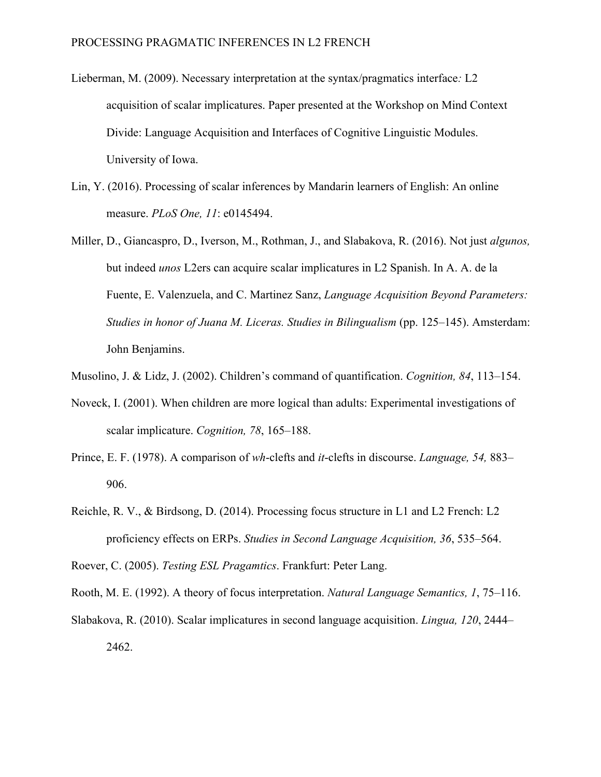- Lieberman, M. (2009). Necessary interpretation at the syntax/pragmatics interface*:* L2 acquisition of scalar implicatures. Paper presented at the Workshop on Mind Context Divide: Language Acquisition and Interfaces of Cognitive Linguistic Modules. University of Iowa.
- Lin, Y. (2016). Processing of scalar inferences by Mandarin learners of English: An online measure. *PLoS One, 11*: e0145494.
- Miller, D., Giancaspro, D., Iverson, M., Rothman, J., and Slabakova, R. (2016). Not just *algunos,*  but indeed *unos* L2ers can acquire scalar implicatures in L2 Spanish. In A. A. de la Fuente, E. Valenzuela, and C. Martinez Sanz, *Language Acquisition Beyond Parameters: Studies in honor of Juana M. Liceras. Studies in Bilingualism* (pp. 125–145). Amsterdam: John Benjamins.
- Musolino, J. & Lidz, J. (2002). Children's command of quantification. *Cognition, 84*, 113–154.
- Noveck, I. (2001). When children are more logical than adults: Experimental investigations of scalar implicature. *Cognition, 78*, 165–188.
- Prince, E. F. (1978). A comparison of *wh*-clefts and *it*-clefts in discourse. *Language, 54,* 883– 906.
- Reichle, R. V., & Birdsong, D. (2014). Processing focus structure in L1 and L2 French: L2 proficiency effects on ERPs. *Studies in Second Language Acquisition, 36*, 535–564.

Roever, C. (2005). *Testing ESL Pragamtics*. Frankfurt: Peter Lang.

Rooth, M. E. (1992). A theory of focus interpretation. *Natural Language Semantics, 1*, 75–116.

Slabakova, R. (2010). Scalar implicatures in second language acquisition. *Lingua, 120*, 2444– 2462.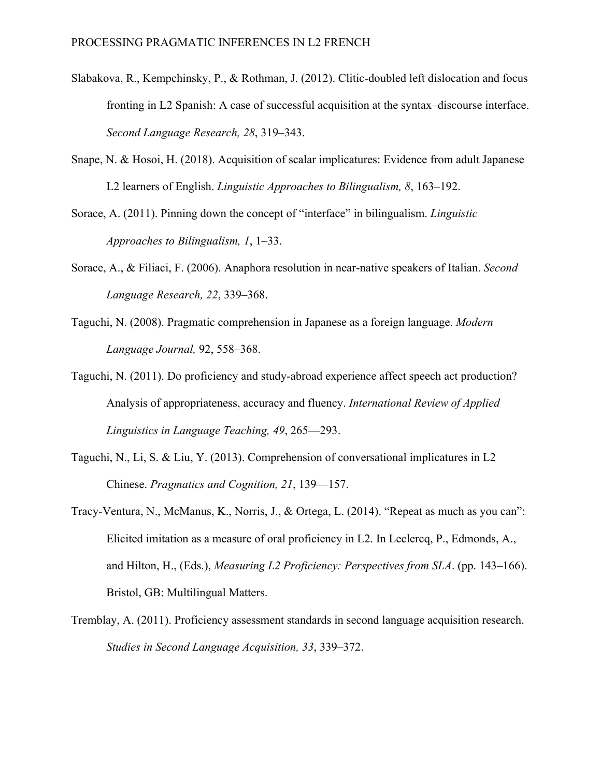- Slabakova, R., Kempchinsky, P., & Rothman, J. (2012). Clitic-doubled left dislocation and focus fronting in L2 Spanish: A case of successful acquisition at the syntax–discourse interface. *Second Language Research, 28*, 319–343.
- Snape, N. & Hosoi, H. (2018). Acquisition of scalar implicatures: Evidence from adult Japanese L2 learners of English. *Linguistic Approaches to Bilingualism, 8*, 163–192.
- Sorace, A. (2011). Pinning down the concept of "interface" in bilingualism. *Linguistic Approaches to Bilingualism, 1*, 1–33.
- Sorace, A., & Filiaci, F. (2006). Anaphora resolution in near-native speakers of Italian. *Second Language Research, 22*, 339–368.
- Taguchi, N. (2008). Pragmatic comprehension in Japanese as a foreign language. *Modern Language Journal,* 92, 558–368.
- Taguchi, N. (2011). Do proficiency and study-abroad experience affect speech act production? Analysis of appropriateness, accuracy and fluency. *International Review of Applied Linguistics in Language Teaching, 49*, 265—293.
- Taguchi, N., Li, S. & Liu, Y. (2013). Comprehension of conversational implicatures in L2 Chinese. *Pragmatics and Cognition, 21*, 139—157.
- Tracy-Ventura, N., McManus, K., Norris, J., & Ortega, L. (2014). "Repeat as much as you can": Elicited imitation as a measure of oral proficiency in L2. In Leclercq, P., Edmonds, A., and Hilton, H., (Eds.), *Measuring L2 Proficiency: Perspectives from SLA*. (pp. 143–166). Bristol, GB: Multilingual Matters.
- Tremblay, A. (2011). Proficiency assessment standards in second language acquisition research. *Studies in Second Language Acquisition, 33*, 339–372.